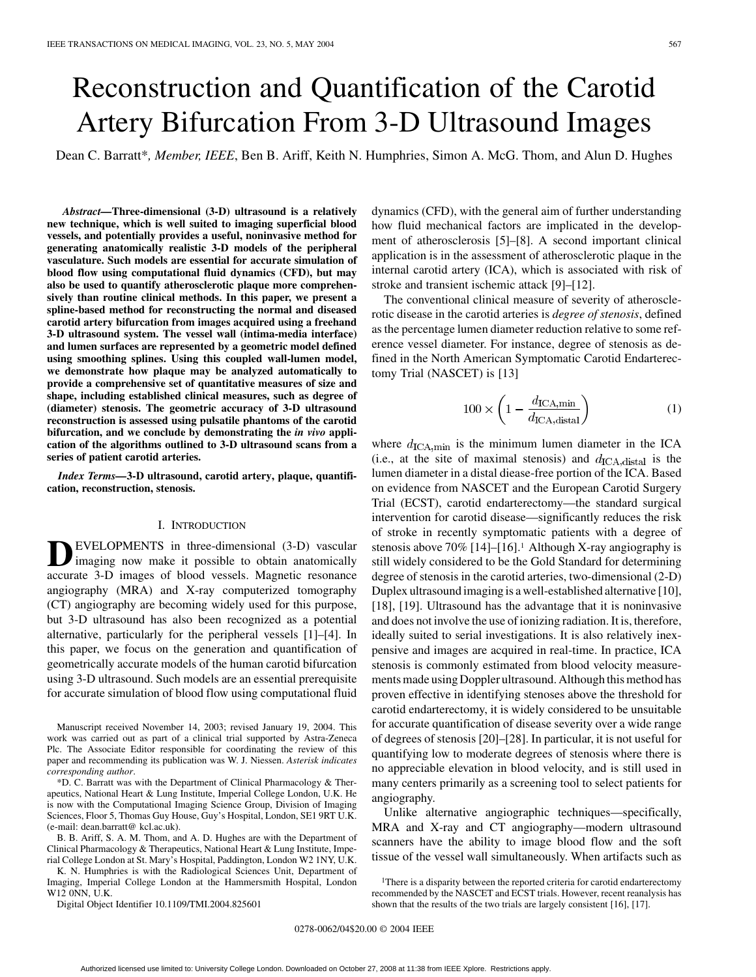# Reconstruction and Quantification of the Carotid Artery Bifurcation From 3-D Ultrasound Images

Dean C. Barratt\**, Member, IEEE*, Ben B. Ariff, Keith N. Humphries, Simon A. McG. Thom, and Alun D. Hughes

*Abstract—***Three-dimensional (3-D) ultrasound is a relatively new technique, which is well suited to imaging superficial blood vessels, and potentially provides a useful, noninvasive method for generating anatomically realistic 3-D models of the peripheral vasculature. Such models are essential for accurate simulation of blood flow using computational fluid dynamics (CFD), but may also be used to quantify atherosclerotic plaque more comprehensively than routine clinical methods. In this paper, we present a spline-based method for reconstructing the normal and diseased carotid artery bifurcation from images acquired using a freehand 3-D ultrasound system. The vessel wall (intima-media interface) and lumen surfaces are represented by a geometric model defined using smoothing splines. Using this coupled wall-lumen model, we demonstrate how plaque may be analyzed automatically to provide a comprehensive set of quantitative measures of size and shape, including established clinical measures, such as degree of (diameter) stenosis. The geometric accuracy of 3-D ultrasound reconstruction is assessed using pulsatile phantoms of the carotid bifurcation, and we conclude by demonstrating the** *in vivo* **application of the algorithms outlined to 3-D ultrasound scans from a series of patient carotid arteries.**

*Index Terms—***3-D ultrasound, carotid artery, plaque, quantification, reconstruction, stenosis.**

#### I. INTRODUCTION

**D**EVELOPMENTS in three-dimensional (3-D) vascular imaging now make it possible to obtain anatomically accurate 3-D images of blood vessels. Magnetic resonance angiography (MRA) and X-ray computerized tomography (CT) angiography are becoming widely used for this purpose, but 3-D ultrasound has also been recognized as a potential alternative, particularly for the peripheral vessels [\[1](#page-14-0)]–[[4\]](#page-15-0). In this paper, we focus on the generation and quantification of geometrically accurate models of the human carotid bifurcation using 3-D ultrasound. Such models are an essential prerequisite for accurate simulation of blood flow using computational fluid

Manuscript received November 14, 2003; revised January 19, 2004. This work was carried out as part of a clinical trial supported by Astra-Zeneca Plc. The Associate Editor responsible for coordinating the review of this paper and recommending its publication was W. J. Niessen. *Asterisk indicates corresponding author*.

\*D. C. Barratt was with the Department of Clinical Pharmacology & Therapeutics, National Heart & Lung Institute, Imperial College London, U.K. He is now with the Computational Imaging Science Group, Division of Imaging Sciences, Floor 5, Thomas Guy House, Guy's Hospital, London, SE1 9RT U.K. (e-mail: dean.barratt@ kcl.ac.uk).

B. B. Ariff, S. A. M. Thom, and A. D. Hughes are with the Department of Clinical Pharmacology & Therapeutics, National Heart & Lung Institute, Imperial College London at St. Mary's Hospital, Paddington, London W2 1NY, U.K.

K. N. Humphries is with the Radiological Sciences Unit, Department of Imaging, Imperial College London at the Hammersmith Hospital, London W12 0NN, U.K.

Digital Object Identifier 10.1109/TMI.2004.825601

dynamics (CFD), with the general aim of further understanding how fluid mechanical factors are implicated in the development of atherosclerosis [[5\]](#page-15-0)–[\[8](#page-15-0)]. A second important clinical application is in the assessment of atherosclerotic plaque in the internal carotid artery (ICA), which is associated with risk of stroke and transient ischemic attack [[9\]](#page-15-0)–[\[12](#page-15-0)].

The conventional clinical measure of severity of atherosclerotic disease in the carotid arteries is *degree of stenosis*, defined as the percentage lumen diameter reduction relative to some reference vessel diameter. For instance, degree of stenosis as defined in the North American Symptomatic Carotid Endarterectomy Trial (NASCET) is [[13\]](#page-15-0)

$$
100 \times \left(1 - \frac{d_{\text{ICA,min}}}{d_{\text{ICA,distal}}}\right) \tag{1}
$$

where  $d_{\text{ICA,min}}$  is the minimum lumen diameter in the ICA (i.e., at the site of maximal stenosis) and  $d_{\text{ICA,distal}}$  is the lumen diameter in a distal diease-free portion of the ICA. Based on evidence from NASCET and the European Carotid Surgery Trial (ECST), carotid endarterectomy—the standard surgical intervention for carotid disease—significantly reduces the risk of stroke in recently symptomatic patients with a degree of stenosis above 70% [\[14](#page-15-0)]–[[16\]](#page-15-0).<sup>1</sup> Although X-ray angiography is still widely considered to be the Gold Standard for determining degree of stenosis in the carotid arteries, two-dimensional (2-D) Duplex ultrasound imaging is a well-established alternative [\[10](#page-15-0)], [\[18](#page-15-0)], [[19\]](#page-15-0). Ultrasound has the advantage that it is noninvasive and does not involve the use of ionizing radiation. It is, therefore, ideally suited to serial investigations. It is also relatively inexpensive and images are acquired in real-time. In practice, ICA stenosis is commonly estimated from blood velocity measurements made using Doppler ultrasound. Although this method has proven effective in identifying stenoses above the threshold for carotid endarterectomy, it is widely considered to be unsuitable for accurate quantification of disease severity over a wide range of degrees of stenosis [\[20](#page-15-0)]–[[28\]](#page-15-0). In particular, it is not useful for quantifying low to moderate degrees of stenosis where there is no appreciable elevation in blood velocity, and is still used in many centers primarily as a screening tool to select patients for angiography.

Unlike alternative angiographic techniques—specifically, MRA and X-ray and CT angiography—modern ultrasound scanners have the ability to image blood flow and the soft tissue of the vessel wall simultaneously. When artifacts such as

<sup>&</sup>lt;sup>1</sup>There is a disparity between the reported criteria for carotid endarterectomy recommended by the NASCET and ECST trials. However, recent reanalysis has shown that the results of the two trials are largely consistent [\[16](#page-15-0)], [\[17](#page-15-0)].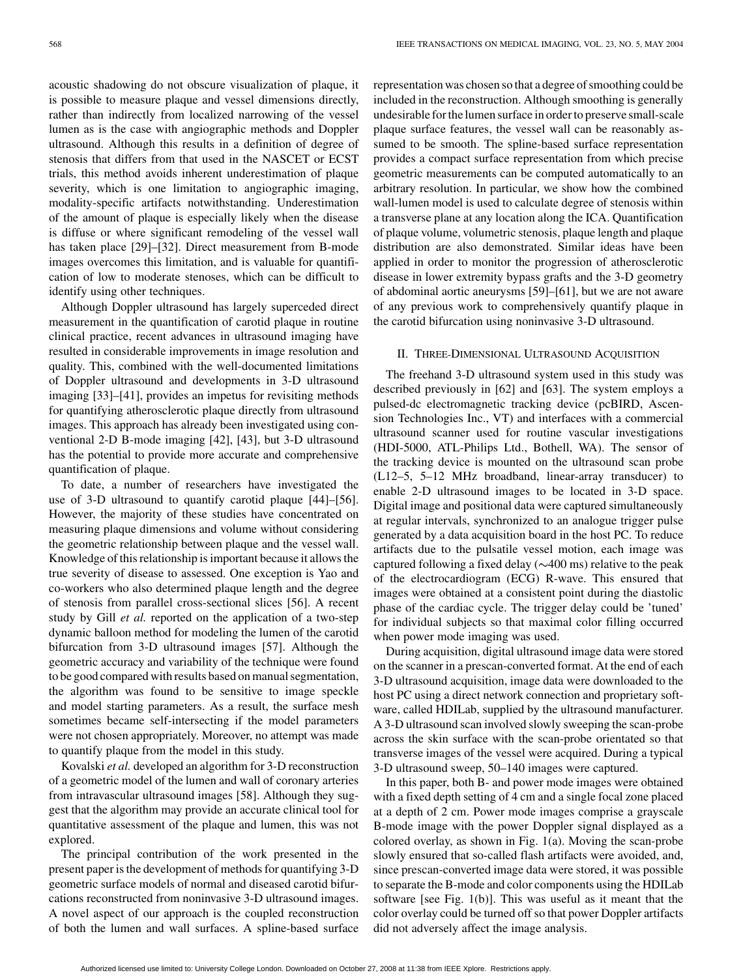acoustic shadowing do not obscure visualization of plaque, it is possible to measure plaque and vessel dimensions directly, rather than indirectly from localized narrowing of the vessel lumen as is the case with angiographic methods and Doppler ultrasound. Although this results in a definition of degree of stenosis that differs from that used in the NASCET or ECST trials, this method avoids inherent underestimation of plaque severity, which is one limitation to angiographic imaging, modality-specific artifacts notwithstanding. Underestimation of the amount of plaque is especially likely when the disease is diffuse or where significant remodeling of the vessel wall has taken place [\[29](#page-15-0)]–[\[32\]](#page-15-0). Direct measurement from B-mode images overcomes this limitation, and is valuable for quantification of low to moderate stenoses, which can be difficult to identify using other techniques.

Although Doppler ultrasound has largely superceded direct measurement in the quantification of carotid plaque in routine clinical practice, recent advances in ultrasound imaging have resulted in considerable improvements in image resolution and quality. This, combined with the well-documented limitations of Doppler ultrasound and developments in 3-D ultrasound imaging [\[33](#page-15-0)]–[\[41\]](#page-15-0), provides an impetus for revisiting methods for quantifying atherosclerotic plaque directly from ultrasound images. This approach has already been investigated using conventional 2-D B-mode imaging [[42\]](#page-15-0), [\[43](#page-15-0)], but 3-D ultrasound has the potential to provide more accurate and comprehensive quantification of plaque.

To date, a number of researchers have investigated the use of 3-D ultrasound to quantify carotid plaque [\[44](#page-15-0)]–[[56\]](#page-16-0). However, the majority of these studies have concentrated on measuring plaque dimensions and volume without considering the geometric relationship between plaque and the vessel wall. Knowledge of this relationship is important because it allows the true severity of disease to assessed. One exception is Yao and co-workers who also determined plaque length and the degree of stenosis from parallel cross-sectional slices [[56\]](#page-16-0). A recent study by Gill *et al.* reported on the application of a two-step dynamic balloon method for modeling the lumen of the carotid bifurcation from 3-D ultrasound images [[57\]](#page-16-0). Although the geometric accuracy and variability of the technique were found to be good compared with results based on manual segmentation, the algorithm was found to be sensitive to image speckle and model starting parameters. As a result, the surface mesh sometimes became self-intersecting if the model parameters were not chosen appropriately. Moreover, no attempt was made to quantify plaque from the model in this study.

Kovalski *et al.* developed an algorithm for 3-D reconstruction of a geometric model of the lumen and wall of coronary arteries from intravascular ultrasound images [[58\]](#page-16-0). Although they suggest that the algorithm may provide an accurate clinical tool for quantitative assessment of the plaque and lumen, this was not explored.

The principal contribution of the work presented in the present paper is the development of methods for quantifying 3-D geometric surface models of normal and diseased carotid bifurcations reconstructed from noninvasive 3-D ultrasound images. A novel aspect of our approach is the coupled reconstruction of both the lumen and wall surfaces. A spline-based surface representation was chosen so that a degree of smoothing could be included in the reconstruction. Although smoothing is generally undesirable for the lumen surface in order to preserve small-scale plaque surface features, the vessel wall can be reasonably assumed to be smooth. The spline-based surface representation provides a compact surface representation from which precise geometric measurements can be computed automatically to an arbitrary resolution. In particular, we show how the combined wall-lumen model is used to calculate degree of stenosis within a transverse plane at any location along the ICA. Quantification of plaque volume, volumetric stenosis, plaque length and plaque distribution are also demonstrated. Similar ideas have been applied in order to monitor the progression of atherosclerotic disease in lower extremity bypass grafts and the 3-D geometry of abdominal aortic aneurysms [\[59](#page-16-0)]–[[61\]](#page-16-0), but we are not aware of any previous work to comprehensively quantify plaque in the carotid bifurcation using noninvasive 3-D ultrasound.

#### II. THREE-DIMENSIONAL ULTRASOUND ACQUISITION

The freehand 3-D ultrasound system used in this study was described previously in [\[62](#page-16-0)] and [\[63](#page-16-0)]. The system employs a pulsed-dc electromagnetic tracking device (pcBIRD, Ascension Technologies Inc., VT) and interfaces with a commercial ultrasound scanner used for routine vascular investigations (HDI-5000, ATL-Philips Ltd., Bothell, WA). The sensor of the tracking device is mounted on the ultrasound scan probe (L12–5, 5–12 MHz broadband, linear-array transducer) to enable 2-D ultrasound images to be located in 3-D space. Digital image and positional data were captured simultaneously at regular intervals, synchronized to an analogue trigger pulse generated by a data acquisition board in the host PC. To reduce artifacts due to the pulsatile vessel motion, each image was captured following a fixed delay  $(\sim 400 \text{ ms})$  relative to the peak of the electrocardiogram (ECG) R-wave. This ensured that images were obtained at a consistent point during the diastolic phase of the cardiac cycle. The trigger delay could be 'tuned' for individual subjects so that maximal color filling occurred when power mode imaging was used.

During acquisition, digital ultrasound image data were stored on the scanner in a prescan-converted format. At the end of each 3-D ultrasound acquisition, image data were downloaded to the host PC using a direct network connection and proprietary software, called HDILab, supplied by the ultrasound manufacturer. A 3-D ultrasound scan involved slowly sweeping the scan-probe across the skin surface with the scan-probe orientated so that transverse images of the vessel were acquired. During a typical 3-D ultrasound sweep, 50–140 images were captured.

In this paper, both B- and power mode images were obtained with a fixed depth setting of 4 cm and a single focal zone placed at a depth of 2 cm. Power mode images comprise a grayscale B-mode image with the power Doppler signal displayed as a colored overlay, as shown in Fig. 1(a). Moving the scan-probe slowly ensured that so-called flash artifacts were avoided, and, since prescan-converted image data were stored, it was possible to separate the B-mode and color components using the HDILab software [see Fig. 1(b)]. This was useful as it meant that the color overlay could be turned off so that power Doppler artifacts did not adversely affect the image analysis.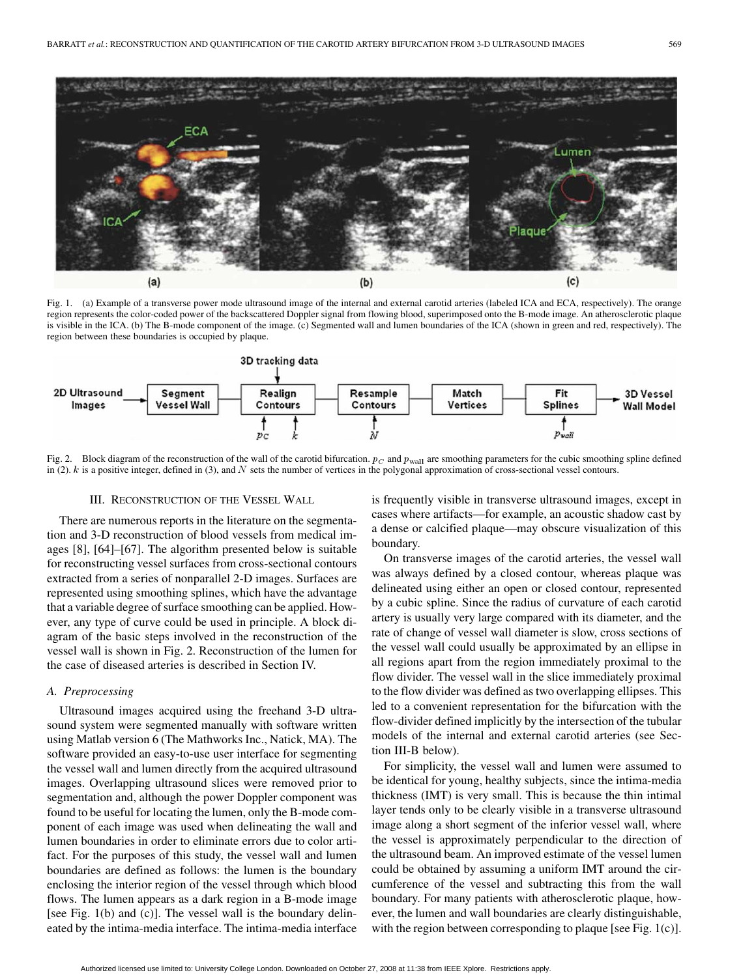

Fig. 1. (a) Example of a transverse power mode ultrasound image of the internal and external carotid arteries (labeled ICA and ECA, respectively). The orange region represents the color-coded power of the backscattered Doppler signal from flowing blood, superimposed onto the B-mode image. An atherosclerotic plaque is visible in the ICA. (b) The B-mode component of the image. (c) Segmented wall and lumen boundaries of the ICA (shown in green and red, respectively). The region between these boundaries is occupied by plaque.



Fig. 2. Block diagram of the reconstruction of the wall of the carotid bifurcation.  $p_C$  and  $p_{\text{wall}}$  are smoothing parameters for the cubic smoothing spline defined in (2). k is a positive integer, defined in (3), and N sets the number of vertices in the polygonal approximation of cross-sectional vessel contours.

#### III. RECONSTRUCTION OF THE VESSEL WALL

There are numerous reports in the literature on the segmentation and 3-D reconstruction of blood vessels from medical images [\[8](#page-15-0)], [\[64](#page-16-0)]–[[67\]](#page-16-0). The algorithm presented below is suitable for reconstructing vessel surfaces from cross-sectional contours extracted from a series of nonparallel 2-D images. Surfaces are represented using smoothing splines, which have the advantage that a variable degree of surface smoothing can be applied. However, any type of curve could be used in principle. A block diagram of the basic steps involved in the reconstruction of the vessel wall is shown in Fig. 2. Reconstruction of the lumen for the case of diseased arteries is described in Section IV.

# *A. Preprocessing*

Ultrasound images acquired using the freehand 3-D ultrasound system were segmented manually with software written using Matlab version 6 (The Mathworks Inc., Natick, MA). The software provided an easy-to-use user interface for segmenting the vessel wall and lumen directly from the acquired ultrasound images. Overlapping ultrasound slices were removed prior to segmentation and, although the power Doppler component was found to be useful for locating the lumen, only the B-mode component of each image was used when delineating the wall and lumen boundaries in order to eliminate errors due to color artifact. For the purposes of this study, the vessel wall and lumen boundaries are defined as follows: the lumen is the boundary enclosing the interior region of the vessel through which blood flows. The lumen appears as a dark region in a B-mode image [see Fig. 1(b) and (c)]. The vessel wall is the boundary delineated by the intima-media interface. The intima-media interface is frequently visible in transverse ultrasound images, except in cases where artifacts—for example, an acoustic shadow cast by a dense or calcified plaque—may obscure visualization of this boundary.

On transverse images of the carotid arteries, the vessel wall was always defined by a closed contour, whereas plaque was delineated using either an open or closed contour, represented by a cubic spline. Since the radius of curvature of each carotid artery is usually very large compared with its diameter, and the rate of change of vessel wall diameter is slow, cross sections of the vessel wall could usually be approximated by an ellipse in all regions apart from the region immediately proximal to the flow divider. The vessel wall in the slice immediately proximal to the flow divider was defined as two overlapping ellipses. This led to a convenient representation for the bifurcation with the flow-divider defined implicitly by the intersection of the tubular models of the internal and external carotid arteries (see Section III-B below).

For simplicity, the vessel wall and lumen were assumed to be identical for young, healthy subjects, since the intima-media thickness (IMT) is very small. This is because the thin intimal layer tends only to be clearly visible in a transverse ultrasound image along a short segment of the inferior vessel wall, where the vessel is approximately perpendicular to the direction of the ultrasound beam. An improved estimate of the vessel lumen could be obtained by assuming a uniform IMT around the circumference of the vessel and subtracting this from the wall boundary. For many patients with atherosclerotic plaque, however, the lumen and wall boundaries are clearly distinguishable, with the region between corresponding to plaque [see Fig. 1(c)].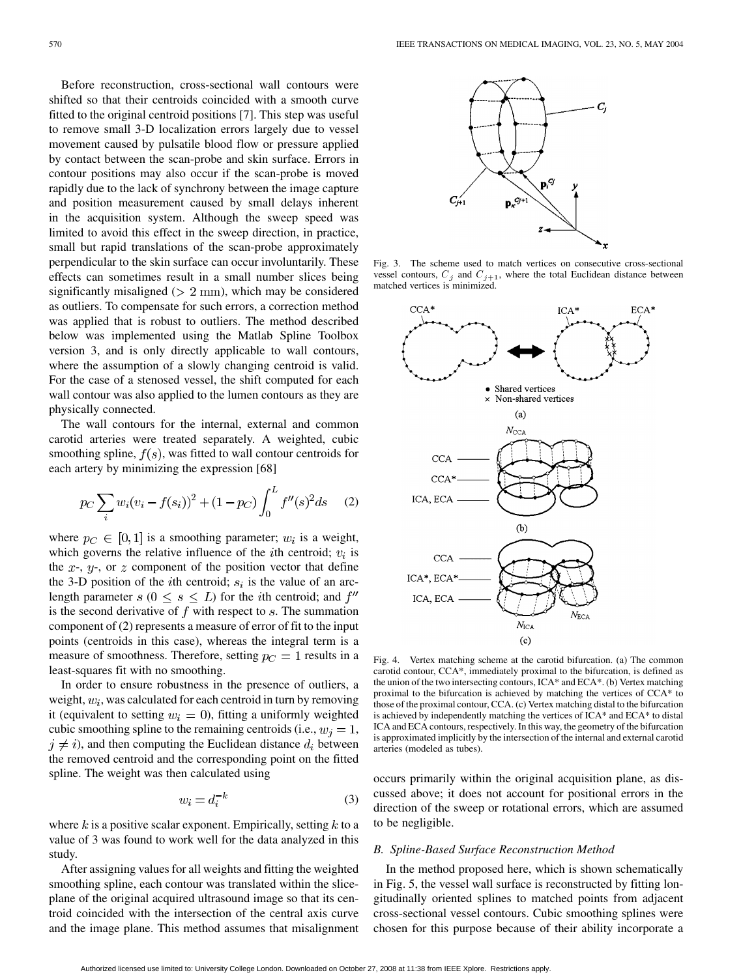Before reconstruction, cross-sectional wall contours were shifted so that their centroids coincided with a smooth curve fitted to the original centroid positions [\[7](#page-15-0)]. This step was useful to remove small 3-D localization errors largely due to vessel movement caused by pulsatile blood flow or pressure applied by contact between the scan-probe and skin surface. Errors in contour positions may also occur if the scan-probe is moved rapidly due to the lack of synchrony between the image capture and position measurement caused by small delays inherent in the acquisition system. Although the sweep speed was limited to avoid this effect in the sweep direction, in practice, small but rapid translations of the scan-probe approximately perpendicular to the skin surface can occur involuntarily. These effects can sometimes result in a small number slices being significantly misaligned ( $> 2$  mm), which may be considered as outliers. To compensate for such errors, a correction method was applied that is robust to outliers. The method described below was implemented using the Matlab Spline Toolbox version 3, and is only directly applicable to wall contours, where the assumption of a slowly changing centroid is valid. For the case of a stenosed vessel, the shift computed for each wall contour was also applied to the lumen contours as they are physically connected.

The wall contours for the internal, external and common carotid arteries were treated separately. A weighted, cubic smoothing spline,  $f(s)$ , was fitted to wall contour centroids for each artery by minimizing the expression [[68\]](#page-16-0)

$$
p_C \sum_i w_i (v_i - f(s_i))^2 + (1 - p_C) \int_0^L f''(s)^2 ds \tag{2}
$$

where  $p_C \in [0, 1]$  is a smoothing parameter;  $w_i$  is a weight, which governs the relative influence of the *i*th centroid;  $v_i$  is the  $x$ -,  $y$ -, or z component of the position vector that define the 3-D position of the *i*th centroid;  $s_i$  is the value of an arclength parameter  $s$  ( $0 \le s \le L$ ) for the *i*th centroid; and  $f''$ is the second derivative of  $f$  with respect to  $s$ . The summation component of (2) represents a measure of error of fit to the input points (centroids in this case), whereas the integral term is a measure of smoothness. Therefore, setting  $p_C = 1$  results in a least-squares fit with no smoothing.

In order to ensure robustness in the presence of outliers, a weight,  $w_i$ , was calculated for each centroid in turn by removing it (equivalent to setting  $w_i = 0$ ), fitting a uniformly weighted cubic smoothing spline to the remaining centroids (i.e.,  $w_i = 1$ ,  $j \neq i$ ), and then computing the Euclidean distance  $d_i$  between the removed centroid and the corresponding point on the fitted spline. The weight was then calculated using

$$
w_i = d_i^{-k} \tag{3}
$$

where k is a positive scalar exponent. Empirically, setting  $k$  to a value of 3 was found to work well for the data analyzed in this study.

After assigning values for all weights and fitting the weighted smoothing spline, each contour was translated within the sliceplane of the original acquired ultrasound image so that its centroid coincided with the intersection of the central axis curve and the image plane. This method assumes that misalignment



Fig. 3. The scheme used to match vertices on consecutive cross-sectional vessel contours,  $C_j$  and  $C_{j+1}$ , where the total Euclidean distance between matched vertices is minimized.



Fig. 4. Vertex matching scheme at the carotid bifurcation. (a) The common carotid contour, CCA\*, immediately proximal to the bifurcation, is defined as the union of the two intersecting contours, ICA\* and ECA\*. (b) Vertex matching proximal to the bifurcation is achieved by matching the vertices of CCA\* to those of the proximal contour, CCA. (c) Vertex matching distal to the bifurcation is achieved by independently matching the vertices of ICA\* and ECA\* to distal ICA and ECA contours, respectively. In this way, the geometry of the bifurcation is approximated implicitly by the intersection of the internal and external carotid arteries (modeled as tubes).

occurs primarily within the original acquisition plane, as discussed above; it does not account for positional errors in the direction of the sweep or rotational errors, which are assumed to be negligible.

#### *B. Spline-Based Surface Reconstruction Method*

In the method proposed here, which is shown schematically in Fig. 5, the vessel wall surface is reconstructed by fitting longitudinally oriented splines to matched points from adjacent cross-sectional vessel contours. Cubic smoothing splines were chosen for this purpose because of their ability incorporate a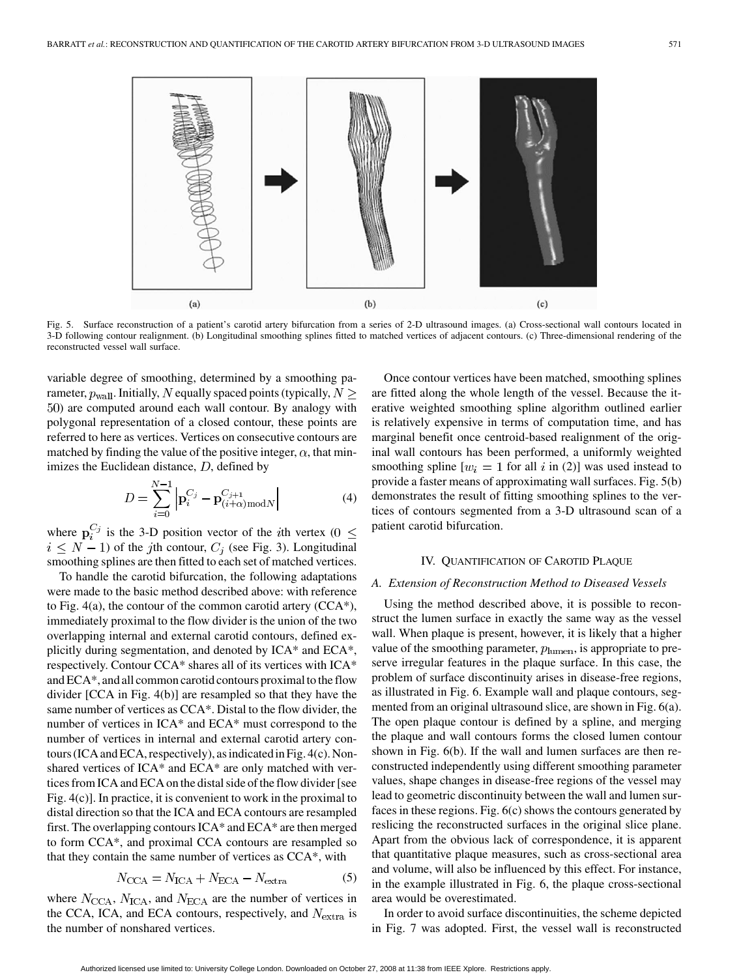

Fig. 5. Surface reconstruction of a patient's carotid artery bifurcation from a series of 2-D ultrasound images. (a) Cross-sectional wall contours located in 3-D following contour realignment. (b) Longitudinal smoothing splines fitted to matched vertices of adjacent contours. (c) Three-dimensional rendering of the reconstructed vessel wall surface.

variable degree of smoothing, determined by a smoothing parameter,  $p_{\text{wall}}$ . Initially, N equally spaced points (typically,  $N \geq$ ) are computed around each wall contour. By analogy with polygonal representation of a closed contour, these points are referred to here as vertices. Vertices on consecutive contours are matched by finding the value of the positive integer,  $\alpha$ , that minimizes the Euclidean distance,  $D$ , defined by

$$
D = \sum_{i=0}^{N-1} \left| \mathbf{p}_i^{C_j} - \mathbf{p}_{(i+\alpha)\bmod N}^{C_{j+1}} \right| \tag{4}
$$

where  $\mathbf{p}_i^{C_j}$  is the 3-D position vector of the *i*th vertex (0  $\leq$  $i \leq N - 1$ ) of the jth contour,  $C_j$  (see Fig. 3). Longitudinal smoothing splines are then fitted to each set of matched vertices.

To handle the carotid bifurcation, the following adaptations were made to the basic method described above: with reference to Fig. 4(a), the contour of the common carotid artery (CCA\*), immediately proximal to the flow divider is the union of the two overlapping internal and external carotid contours, defined explicitly during segmentation, and denoted by ICA\* and ECA\*, respectively. Contour CCA\* shares all of its vertices with ICA\* and ECA\*, and all common carotid contours proximal to the flow divider [CCA in Fig. 4(b)] are resampled so that they have the same number of vertices as CCA\*. Distal to the flow divider, the number of vertices in ICA\* and ECA\* must correspond to the number of vertices in internal and external carotid artery contours (ICA and ECA, respectively), as indicated in Fig. 4(c). Nonshared vertices of ICA\* and ECA\* are only matched with vertices from ICA and ECA on the distal side of the flow divider [see Fig. 4(c)]. In practice, it is convenient to work in the proximal to distal direction so that the ICA and ECA contours are resampled first. The overlapping contours ICA\* and ECA\* are then merged to form CCA\*, and proximal CCA contours are resampled so that they contain the same number of vertices as CCA\*, with

$$
N_{\text{CCA}} = N_{\text{ICA}} + N_{\text{ECA}} - N_{\text{extra}} \tag{5}
$$

where  $N_{\text{CCA}}$ ,  $N_{\text{ICA}}$ , and  $N_{\text{ECA}}$  are the number of vertices in the CCA, ICA, and ECA contours, respectively, and  $N_{\text{extra}}$  is the number of nonshared vertices.

Once contour vertices have been matched, smoothing splines are fitted along the whole length of the vessel. Because the iterative weighted smoothing spline algorithm outlined earlier is relatively expensive in terms of computation time, and has marginal benefit once centroid-based realignment of the original wall contours has been performed, a uniformly weighted smoothing spline  $[w_i = 1$  for all i in (2)] was used instead to provide a faster means of approximating wall surfaces. Fig. 5(b) demonstrates the result of fitting smoothing splines to the vertices of contours segmented from a 3-D ultrasound scan of a patient carotid bifurcation.

## IV. QUANTIFICATION OF CAROTID PLAQUE

# *A. Extension of Reconstruction Method to Diseased Vessels*

Using the method described above, it is possible to reconstruct the lumen surface in exactly the same way as the vessel wall. When plaque is present, however, it is likely that a higher value of the smoothing parameter,  $p_{\text{lumen}}$ , is appropriate to preserve irregular features in the plaque surface. In this case, the problem of surface discontinuity arises in disease-free regions, as illustrated in Fig. 6. Example wall and plaque contours, segmented from an original ultrasound slice, are shown in Fig. 6(a). The open plaque contour is defined by a spline, and merging the plaque and wall contours forms the closed lumen contour shown in Fig. 6(b). If the wall and lumen surfaces are then reconstructed independently using different smoothing parameter values, shape changes in disease-free regions of the vessel may lead to geometric discontinuity between the wall and lumen surfaces in these regions. Fig. 6(c) shows the contours generated by reslicing the reconstructed surfaces in the original slice plane. Apart from the obvious lack of correspondence, it is apparent that quantitative plaque measures, such as cross-sectional area and volume, will also be influenced by this effect. For instance, in the example illustrated in Fig. 6, the plaque cross-sectional area would be overestimated.

In order to avoid surface discontinuities, the scheme depicted in Fig. 7 was adopted. First, the vessel wall is reconstructed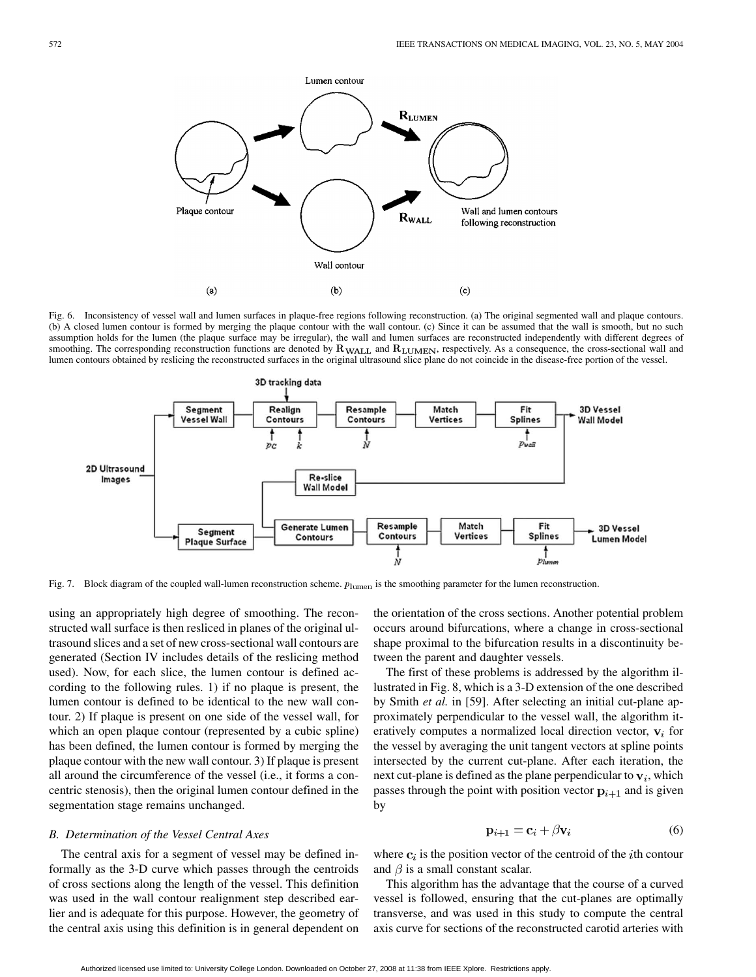

Fig. 6. Inconsistency of vessel wall and lumen surfaces in plaque-free regions following reconstruction. (a) The original segmented wall and plaque contours. (b) A closed lumen contour is formed by merging the plaque contour with the wall contour. (c) Since it can be assumed that the wall is smooth, but no such assumption holds for the lumen (the plaque surface may be irregular), the wall and lumen surfaces are reconstructed independently with different degrees of smoothing. The corresponding reconstruction functions are denoted by  $R_{\text{WALL}}$  and  $R_{\text{LUMEN}}$ , respectively. As a consequence, the cross-sectional wall and lumen contours obtained by reslicing the reconstructed surfaces in the original ultrasound slice plane do not coincide in the disease-free portion of the vessel.



Fig. 7. Block diagram of the coupled wall-lumen reconstruction scheme.  $p_{1$ <sub>umen</sub> is the smoothing parameter for the lumen reconstruction.

using an appropriately high degree of smoothing. The reconstructed wall surface is then resliced in planes of the original ultrasound slices and a set of new cross-sectional wall contours are generated (Section IV includes details of the reslicing method used). Now, for each slice, the lumen contour is defined according to the following rules. 1) if no plaque is present, the lumen contour is defined to be identical to the new wall contour. 2) If plaque is present on one side of the vessel wall, for which an open plaque contour (represented by a cubic spline) has been defined, the lumen contour is formed by merging the plaque contour with the new wall contour. 3) If plaque is present all around the circumference of the vessel (i.e., it forms a concentric stenosis), then the original lumen contour defined in the segmentation stage remains unchanged.

## *B. Determination of the Vessel Central Axes*

The central axis for a segment of vessel may be defined informally as the 3-D curve which passes through the centroids of cross sections along the length of the vessel. This definition was used in the wall contour realignment step described earlier and is adequate for this purpose. However, the geometry of the central axis using this definition is in general dependent on the orientation of the cross sections. Another potential problem occurs around bifurcations, where a change in cross-sectional shape proximal to the bifurcation results in a discontinuity between the parent and daughter vessels.

The first of these problems is addressed by the algorithm illustrated in Fig. 8, which is a 3-D extension of the one described by Smith *et al.* in [\[59](#page-16-0)]. After selecting an initial cut-plane approximately perpendicular to the vessel wall, the algorithm iteratively computes a normalized local direction vector,  $v_i$  for the vessel by averaging the unit tangent vectors at spline points intersected by the current cut-plane. After each iteration, the next cut-plane is defined as the plane perpendicular to  $v_i$ , which passes through the point with position vector  $\mathbf{p}_{i+1}$  and is given by

$$
\mathbf{p}_{i+1} = \mathbf{c}_i + \beta \mathbf{v}_i \tag{6}
$$

where  $\mathbf{c}_i$  is the position vector of the centroid of the *i*th contour and  $\beta$  is a small constant scalar.

This algorithm has the advantage that the course of a curved vessel is followed, ensuring that the cut-planes are optimally transverse, and was used in this study to compute the central axis curve for sections of the reconstructed carotid arteries with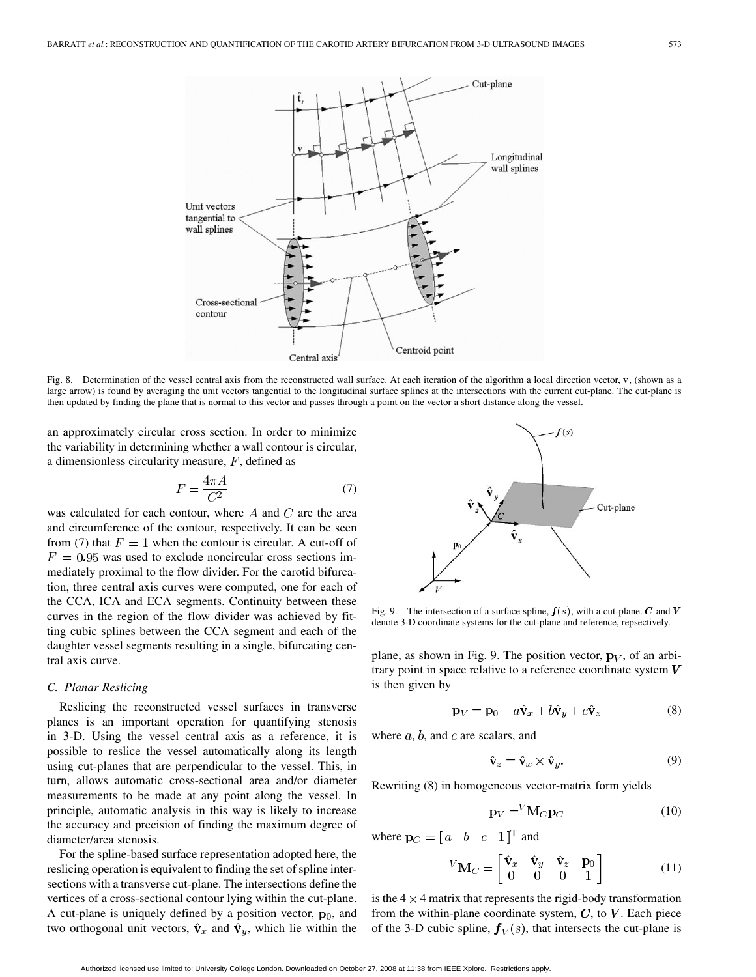

Fig. 8. Determination of the vessel central axis from the reconstructed wall surface. At each iteration of the algorithm a local direction vector, v, (shown as a large arrow) is found by averaging the unit vectors tangential to the longitudinal surface splines at the intersections with the current cut-plane. The cut-plane is then updated by finding the plane that is normal to this vector and passes through a point on the vector a short distance along the vessel.

an approximately circular cross section. In order to minimize the variability in determining whether a wall contour is circular, a dimensionless circularity measure,  $F$ , defined as

$$
F = \frac{4\pi A}{C^2} \tag{7}
$$

was calculated for each contour, where  $A$  and  $C$  are the area and circumference of the contour, respectively. It can be seen from (7) that  $F = 1$  when the contour is circular. A cut-off of  $F = 0.95$  was used to exclude noncircular cross sections immediately proximal to the flow divider. For the carotid bifurcation, three central axis curves were computed, one for each of the CCA, ICA and ECA segments. Continuity between these curves in the region of the flow divider was achieved by fitting cubic splines between the CCA segment and each of the daughter vessel segments resulting in a single, bifurcating central axis curve.

## *C. Planar Reslicing*

Reslicing the reconstructed vessel surfaces in transverse planes is an important operation for quantifying stenosis in 3-D. Using the vessel central axis as a reference, it is possible to reslice the vessel automatically along its length using cut-planes that are perpendicular to the vessel. This, in turn, allows automatic cross-sectional area and/or diameter measurements to be made at any point along the vessel. In principle, automatic analysis in this way is likely to increase the accuracy and precision of finding the maximum degree of diameter/area stenosis.

For the spline-based surface representation adopted here, the reslicing operation is equivalent to finding the set of spline intersections with a transverse cut-plane. The intersections define the vertices of a cross-sectional contour lying within the cut-plane. A cut-plane is uniquely defined by a position vector,  $\mathbf{p}_0$ , and two orthogonal unit vectors,  $\hat{\mathbf{v}}_x$  and  $\hat{\mathbf{v}}_y$ , which lie within the



Fig. 9. The intersection of a surface spline,  $f(s)$ , with a cut-plane.  $C$  and  $V$ denote 3-D coordinate systems for the cut-plane and reference, repsectively.

plane, as shown in Fig. 9. The position vector,  $\mathbf{p}_V$ , of an arbitrary point in space relative to a reference coordinate system  $V$ is then given by

$$
\mathbf{p}_V = \mathbf{p}_0 + a\hat{\mathbf{v}}_x + b\hat{\mathbf{v}}_y + c\hat{\mathbf{v}}_z \tag{8}
$$

where  $a, b$ , and  $c$  are scalars, and

$$
\hat{\mathbf{v}}_z = \hat{\mathbf{v}}_x \times \hat{\mathbf{v}}_y. \tag{9}
$$

Rewriting (8) in homogeneous vector-matrix form yields

 $\mathbf{r}$ 

$$
D_V = {}^V M_C D_C \tag{10}
$$

where  $\mathbf{p}_C = [a \quad b \quad c \quad 1]^\text{T}$  and

$$
{}^{V}\mathbf{M}_{C} = \begin{bmatrix} \hat{\mathbf{v}}_{x} & \hat{\mathbf{v}}_{y} & \hat{\mathbf{v}}_{z} & \mathbf{p}_{0} \\ 0 & 0 & 0 & 1 \end{bmatrix}
$$
(11)

is the  $4 \times 4$  matrix that represents the rigid-body transformation from the within-plane coordinate system,  $C$ , to  $V$ . Each piece of the 3-D cubic spline,  $f_V(s)$ , that intersects the cut-plane is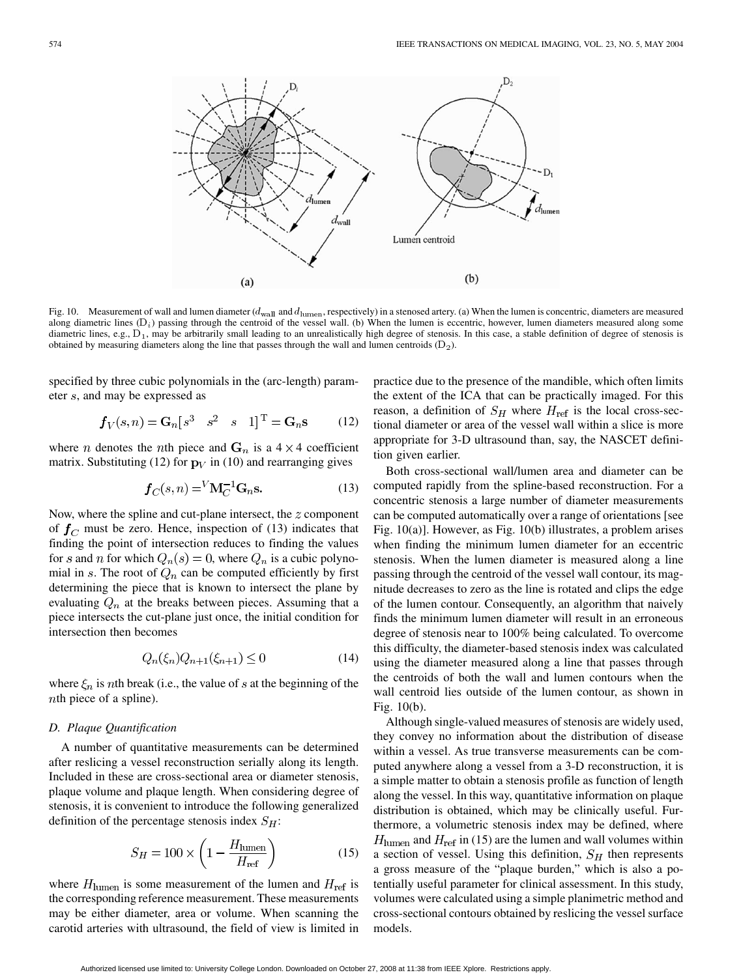

Fig. 10. Measurement of wall and lumen diameter ( $d_{\text{wall}}$  and  $d_{\text{lumen}}$ , respectively) in a stenosed artery. (a) When the lumen is concentric, diameters are measured along diametric lines ( $D_i$ ) passing through the centroid of the vessel wall. (b) When the lumen is eccentric, however, lumen diameters measured along some diametric lines, e.g.,  $D_1$ , may be arbitrarily small leading to an unrealistically high degree of stenosis. In this case, a stable definition of degree of stenosis is obtained by measuring diameters along the line that passes through the wall and lumen centroids  $(D_2)$ .

specified by three cubic polynomials in the (arc-length) parameter s, and may be expressed as

$$
\boldsymbol{f}_V(s,n) = \mathbf{G}_n[s^3 \quad s^2 \quad s \quad 1]^\mathrm{T} = \mathbf{G}_n \mathbf{s} \tag{12}
$$

where *n* denotes the *n*th piece and  $G_n$  is a 4  $\times$  4 coefficient matrix. Substituting (12) for  $\mathbf{p}_V$  in (10) and rearranging gives

$$
\boldsymbol{f}_{C}(s,n) = {}^{V}\mathbf{M}_{C}^{-1}\mathbf{G}_{n}\mathbf{s}.
$$
 (13)

Now, where the spline and cut-plane intersect, the  $z$  component of  $f_C$  must be zero. Hence, inspection of (13) indicates that finding the point of intersection reduces to finding the values for s and n for which  $Q_n(s) = 0$ , where  $Q_n$  is a cubic polynomial in s. The root of  $Q_n$  can be computed efficiently by first determining the piece that is known to intersect the plane by evaluating  $Q_n$  at the breaks between pieces. Assuming that a piece intersects the cut-plane just once, the initial condition for intersection then becomes

$$
Q_n(\xi_n)Q_{n+1}(\xi_{n+1}) \le 0 \tag{14}
$$

where  $\xi_n$  is *n*th break (i.e., the value of *s* at the beginning of the  $n$ th piece of a spline).

#### *D. Plaque Quantification*

A number of quantitative measurements can be determined after reslicing a vessel reconstruction serially along its length. Included in these are cross-sectional area or diameter stenosis, plaque volume and plaque length. When considering degree of stenosis, it is convenient to introduce the following generalized definition of the percentage stenosis index  $S_H$ :

$$
S_H = 100 \times \left(1 - \frac{H_{\text{lumen}}}{H_{\text{ref}}}\right) \tag{15}
$$

where  $H_{\text{lumen}}$  is some measurement of the lumen and  $H_{\text{ref}}$  is the corresponding reference measurement. These measurements may be either diameter, area or volume. When scanning the carotid arteries with ultrasound, the field of view is limited in practice due to the presence of the mandible, which often limits the extent of the ICA that can be practically imaged. For this reason, a definition of  $S_H$  where  $H_{ref}$  is the local cross-sectional diameter or area of the vessel wall within a slice is more appropriate for 3-D ultrasound than, say, the NASCET definition given earlier.

Both cross-sectional wall/lumen area and diameter can be computed rapidly from the spline-based reconstruction. For a concentric stenosis a large number of diameter measurements can be computed automatically over a range of orientations [see Fig. 10(a)]. However, as Fig. 10(b) illustrates, a problem arises when finding the minimum lumen diameter for an eccentric stenosis. When the lumen diameter is measured along a line passing through the centroid of the vessel wall contour, its magnitude decreases to zero as the line is rotated and clips the edge of the lumen contour. Consequently, an algorithm that naively finds the minimum lumen diameter will result in an erroneous degree of stenosis near to 100% being calculated. To overcome this difficulty, the diameter-based stenosis index was calculated using the diameter measured along a line that passes through the centroids of both the wall and lumen contours when the wall centroid lies outside of the lumen contour, as shown in Fig. 10(b).

Although single-valued measures of stenosis are widely used, they convey no information about the distribution of disease within a vessel. As true transverse measurements can be computed anywhere along a vessel from a 3-D reconstruction, it is a simple matter to obtain a stenosis profile as function of length along the vessel. In this way, quantitative information on plaque distribution is obtained, which may be clinically useful. Furthermore, a volumetric stenosis index may be defined, where  $H_{\text{lumen}}$  and  $H_{\text{ref}}$  in (15) are the lumen and wall volumes within a section of vessel. Using this definition,  $S_H$  then represents a gross measure of the "plaque burden," which is also a potentially useful parameter for clinical assessment. In this study, volumes were calculated using a simple planimetric method and cross-sectional contours obtained by reslicing the vessel surface models.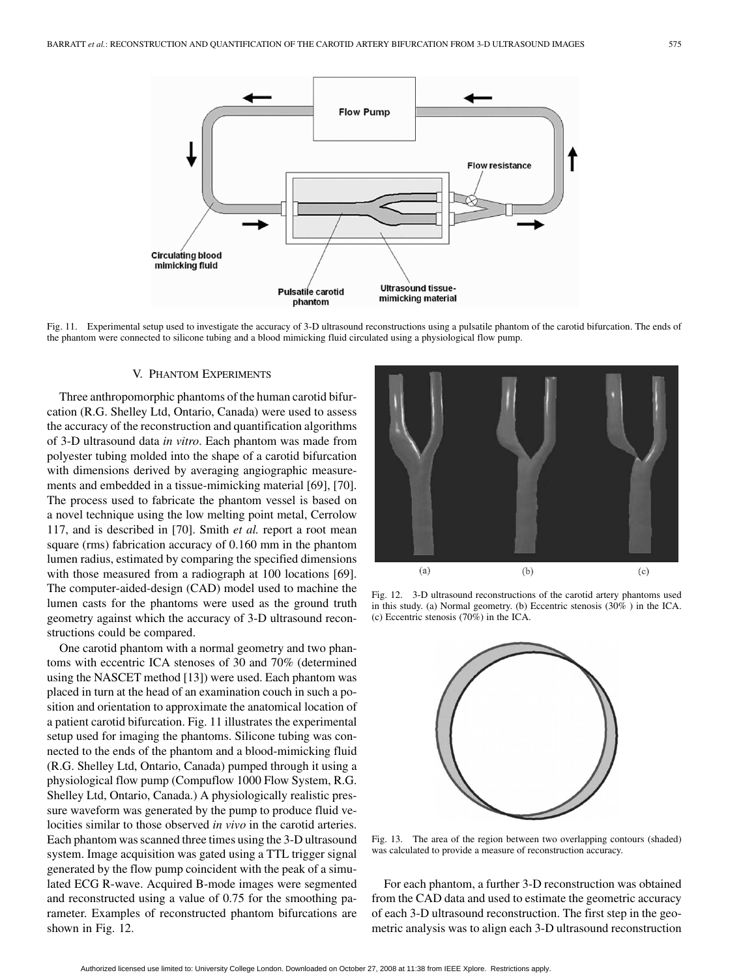

Fig. 11. Experimental setup used to investigate the accuracy of 3-D ultrasound reconstructions using a pulsatile phantom of the carotid bifurcation. The ends of the phantom were connected to silicone tubing and a blood mimicking fluid circulated using a physiological flow pump.

#### V. PHANTOM EXPERIMENTS

Three anthropomorphic phantoms of the human carotid bifurcation (R.G. Shelley Ltd, Ontario, Canada) were used to assess the accuracy of the reconstruction and quantification algorithms of 3-D ultrasound data *in vitro*. Each phantom was made from polyester tubing molded into the shape of a carotid bifurcation with dimensions derived by averaging angiographic measurements and embedded in a tissue-mimicking material [[69\]](#page-16-0), [\[70](#page-16-0)]. The process used to fabricate the phantom vessel is based on a novel technique using the low melting point metal, Cerrolow 117, and is described in [[70\]](#page-16-0). Smith *et al.* report a root mean square (rms) fabrication accuracy of 0.160 mm in the phantom lumen radius, estimated by comparing the specified dimensions with those measured from a radiograph at 100 locations [\[69](#page-16-0)]. The computer-aided-design (CAD) model used to machine the lumen casts for the phantoms were used as the ground truth geometry against which the accuracy of 3-D ultrasound reconstructions could be compared.

One carotid phantom with a normal geometry and two phantoms with eccentric ICA stenoses of 30 and 70% (determined using the NASCET method [[13\]](#page-15-0)) were used. Each phantom was placed in turn at the head of an examination couch in such a position and orientation to approximate the anatomical location of a patient carotid bifurcation. Fig. 11 illustrates the experimental setup used for imaging the phantoms. Silicone tubing was connected to the ends of the phantom and a blood-mimicking fluid (R.G. Shelley Ltd, Ontario, Canada) pumped through it using a physiological flow pump (Compuflow 1000 Flow System, R.G. Shelley Ltd, Ontario, Canada.) A physiologically realistic pressure waveform was generated by the pump to produce fluid velocities similar to those observed *in vivo* in the carotid arteries. Each phantom was scanned three times using the 3-D ultrasound system. Image acquisition was gated using a TTL trigger signal generated by the flow pump coincident with the peak of a simulated ECG R-wave. Acquired B-mode images were segmented and reconstructed using a value of 0.75 for the smoothing parameter. Examples of reconstructed phantom bifurcations are shown in Fig. 12.



Fig. 12. 3-D ultrasound reconstructions of the carotid artery phantoms used in this study. (a) Normal geometry. (b) Eccentric stenosis (30% ) in the ICA. (c) Eccentric stenosis (70%) in the ICA.



Fig. 13. The area of the region between two overlapping contours (shaded) was calculated to provide a measure of reconstruction accuracy.

For each phantom, a further 3-D reconstruction was obtained from the CAD data and used to estimate the geometric accuracy of each 3-D ultrasound reconstruction. The first step in the geometric analysis was to align each 3-D ultrasound reconstruction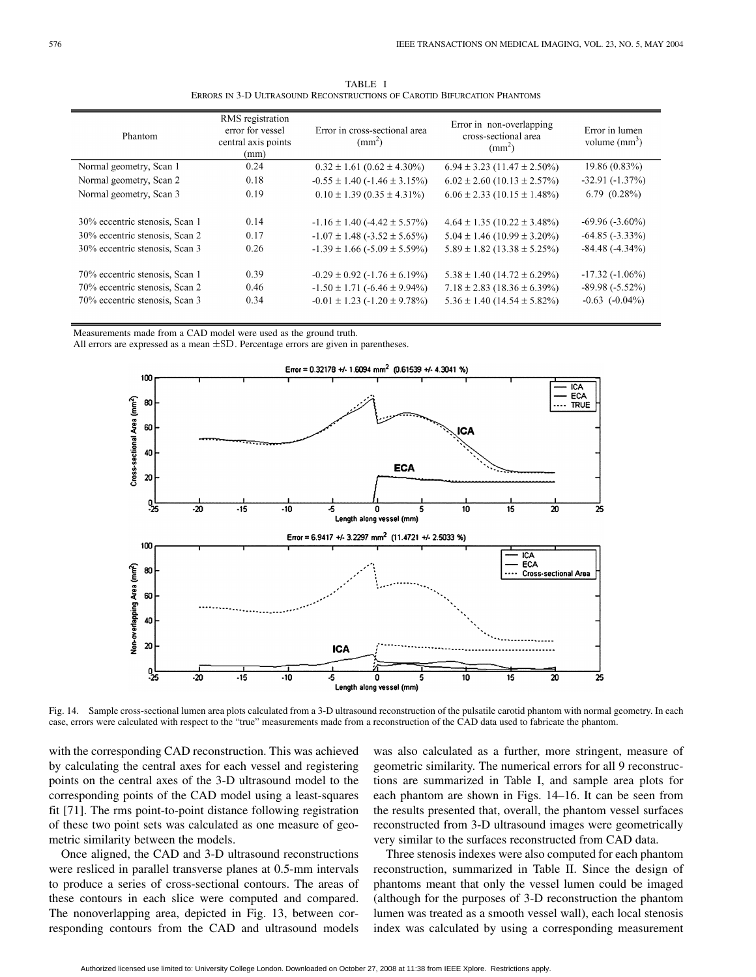| Phantom                        | RMS registration<br>error for vessel<br>central axis points<br>(mm) | Error in cross-sectional area<br>(mm <sup>2</sup> ) | Error in non-overlapping<br>cross-sectional area<br>$\text{mm}^2$ ) | Error in lumen<br>volume $(mm^3)$ |
|--------------------------------|---------------------------------------------------------------------|-----------------------------------------------------|---------------------------------------------------------------------|-----------------------------------|
| Normal geometry, Scan 1        | 0.24                                                                | $0.32 \pm 1.61$ (0.62 $\pm$ 4.30%)                  | $6.94 \pm 3.23$ (11.47 $\pm$ 2.50%)                                 | 19.86 (0.83%)                     |
| Normal geometry, Scan 2        | 0.18                                                                | $-0.55 \pm 1.40 (-1.46 \pm 3.15\%)$                 | $6.02 \pm 2.60$ (10.13 $\pm 2.57\%$ )                               | $-32.91(-1.37%)$                  |
| Normal geometry, Scan 3        | 0.19                                                                | $0.10 \pm 1.39$ (0.35 $\pm$ 4.31%)                  | $6.06 \pm 2.33$ (10.15 $\pm$ 1.48%)                                 | $6.79(0.28\%)$                    |
|                                |                                                                     |                                                     |                                                                     |                                   |
| 30% eccentric stenosis, Scan 1 | 0.14                                                                | $-1.16 \pm 1.40$ ( $-4.42 \pm 5.57\%$ )             | $4.64 \pm 1.35$ (10.22 $\pm$ 3.48%)                                 | $-69.96(-3.60\%)$                 |
| 30% eccentric stenosis. Scan 2 | 0.17                                                                | $-1.07 \pm 1.48$ ( $-3.52 \pm 5.65\%$ )             | $5.04 \pm 1.46$ (10.99 $\pm$ 3.20%)                                 | $-64.85(-3.33\%)$                 |
| 30% eccentric stenosis. Scan 3 | 0.26                                                                | $-1.39 \pm 1.66$ ( $-5.09 \pm 5.59\%$ )             | $5.89 \pm 1.82$ (13.38 $\pm 5.25\%$ )                               | $-84.48(-4.34\%)$                 |
|                                |                                                                     |                                                     |                                                                     |                                   |
| 70% eccentric stenosis, Scan 1 | 0.39                                                                | $-0.29 \pm 0.92$ ( $-1.76 \pm 6.19\%$ )             | $5.38 \pm 1.40$ (14.72 $\pm$ 6.29%)                                 | $-17.32(-1.06\%)$                 |
| 70% eccentric stenosis, Scan 2 | 0.46                                                                | $-1.50 \pm 1.71$ ( $-6.46 \pm 9.94\%$ )             | $7.18 \pm 2.83$ (18.36 $\pm$ 6.39%)                                 | $-89.98(-5.52\%)$                 |
| 70% eccentric stenosis, Scan 3 | 0.34                                                                | $-0.01 \pm 1.23$ ( $-1.20 \pm 9.78\%$ )             | $5.36 \pm 1.40$ (14.54 $\pm$ 5.82%)                                 | $-0.63$ $(-0.04\%)$               |
|                                |                                                                     |                                                     |                                                                     |                                   |

TABLE I ERRORS IN 3-D ULTRASOUND RECONSTRUCTIONS OF CAROTID BIFURCATION PHANTOMS

Measurements made from a CAD model were used as the ground truth.

All errors are expressed as a mean  $\pm$  SD. Percentage errors are given in parentheses.



Fig. 14. Sample cross-sectional lumen area plots calculated from a 3-D ultrasound reconstruction of the pulsatile carotid phantom with normal geometry. In each case, errors were calculated with respect to the "true" measurements made from a reconstruction of the CAD data used to fabricate the phantom.

with the corresponding CAD reconstruction. This was achieved by calculating the central axes for each vessel and registering points on the central axes of the 3-D ultrasound model to the corresponding points of the CAD model using a least-squares fit [[71\]](#page-16-0). The rms point-to-point distance following registration of these two point sets was calculated as one measure of geometric similarity between the models.

Once aligned, the CAD and 3-D ultrasound reconstructions were resliced in parallel transverse planes at 0.5-mm intervals to produce a series of cross-sectional contours. The areas of these contours in each slice were computed and compared. The nonoverlapping area, depicted in Fig. 13, between corresponding contours from the CAD and ultrasound models was also calculated as a further, more stringent, measure of geometric similarity. The numerical errors for all 9 reconstructions are summarized in Table I, and sample area plots for each phantom are shown in Figs. 14–16. It can be seen from the results presented that, overall, the phantom vessel surfaces reconstructed from 3-D ultrasound images were geometrically very similar to the surfaces reconstructed from CAD data.

Three stenosis indexes were also computed for each phantom reconstruction, summarized in Table II. Since the design of phantoms meant that only the vessel lumen could be imaged (although for the purposes of 3-D reconstruction the phantom lumen was treated as a smooth vessel wall), each local stenosis index was calculated by using a corresponding measurement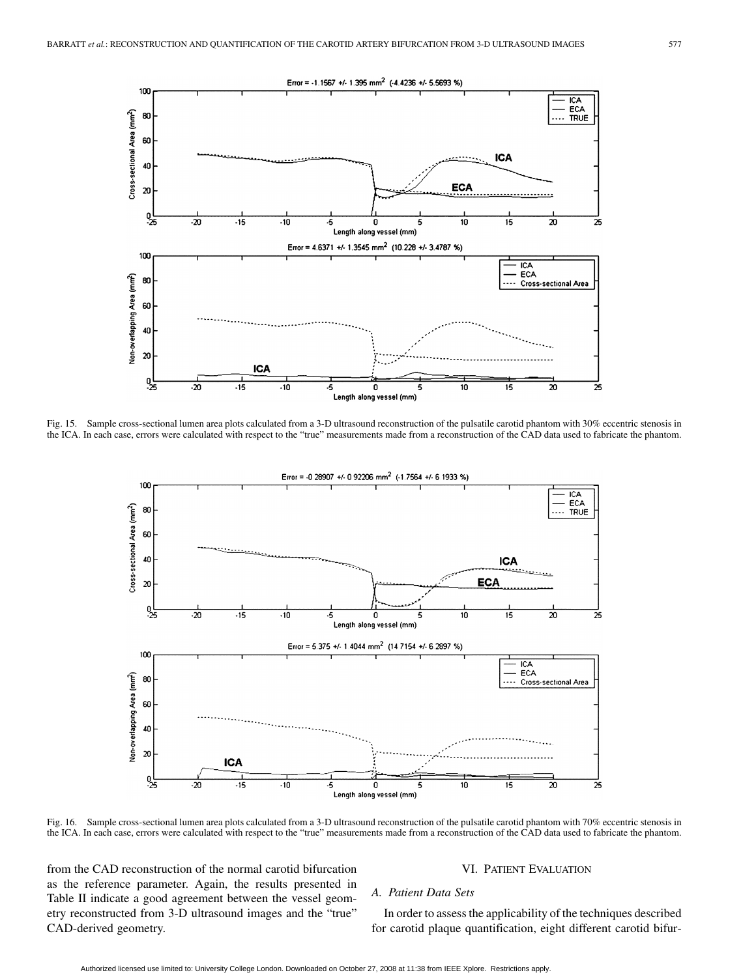

Fig. 15. Sample cross-sectional lumen area plots calculated from a 3-D ultrasound reconstruction of the pulsatile carotid phantom with 30% eccentric stenosis in the ICA. In each case, errors were calculated with respect to the "true" measurements made from a reconstruction of the CAD data used to fabricate the phantom.



Fig. 16. Sample cross-sectional lumen area plots calculated from a 3-D ultrasound reconstruction of the pulsatile carotid phantom with 70% eccentric stenosis in the ICA. In each case, errors were calculated with respect to the "true" measurements made from a reconstruction of the CAD data used to fabricate the phantom.

from the CAD reconstruction of the normal carotid bifurcation as the reference parameter. Again, the results presented in Table II indicate a good agreement between the vessel geometry reconstructed from 3-D ultrasound images and the "true" CAD-derived geometry.

## VI. PATIENT EVALUATION

## *A. Patient Data Sets*

In order to assess the applicability of the techniques described for carotid plaque quantification, eight different carotid bifur-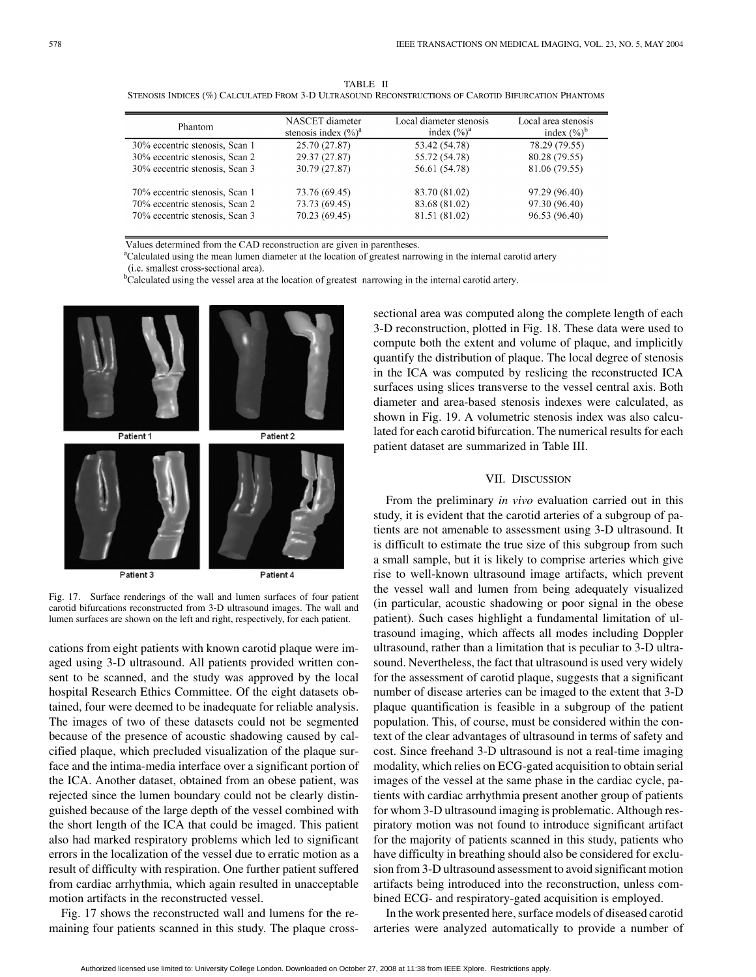| Phantom                        | NASCET diameter<br>stenosis index $(\frac{6}{9})^a$ | Local diameter stenosis<br>index $(\%)^a$ | Local area stenosis<br>index $(%)^b$ |
|--------------------------------|-----------------------------------------------------|-------------------------------------------|--------------------------------------|
| 30% eccentric stenosis, Scan 1 | 25.70 (27.87)                                       | 53.42 (54.78)                             | 78.29 (79.55)                        |
| 30% eccentric stenosis, Scan 2 | 29.37 (27.87)                                       | 55.72 (54.78)                             | 80.28 (79.55)                        |
| 30% eccentric stenosis, Scan 3 | 30.79 (27.87)                                       | 56.61 (54.78)                             | 81.06 (79.55)                        |
| 70% eccentric stenosis, Scan 1 | 73.76 (69.45)                                       | 83.70 (81.02)                             | 97.29 (96.40)                        |
| 70% eccentric stenosis, Scan 2 | 73.73 (69.45)                                       | 83.68 (81.02)                             | 97.30 (96.40)                        |
| 70% eccentric stenosis, Scan 3 | 70.23 (69.45)                                       | 81.51 (81.02)                             | 96.53 (96.40)                        |
|                                |                                                     |                                           |                                      |

TABLE II STENOSIS INDICES (%) CALCULATED FROM 3-D ULTRASOUND RECONSTRUCTIONS OF CAROTID BIFURCATION PHANTOMS

Values determined from the CAD reconstruction are given in parentheses.

<sup>a</sup>Calculated using the mean lumen diameter at the location of greatest narrowing in the internal carotid artery (i.e. smallest cross-sectional area).

<sup>b</sup>Calculated using the vessel area at the location of greatest narrowing in the internal carotid artery.



Fig. 17. Surface renderings of the wall and lumen surfaces of four patient carotid bifurcations reconstructed from 3-D ultrasound images. The wall and lumen surfaces are shown on the left and right, respectively, for each patient.

cations from eight patients with known carotid plaque were imaged using 3-D ultrasound. All patients provided written consent to be scanned, and the study was approved by the local hospital Research Ethics Committee. Of the eight datasets obtained, four were deemed to be inadequate for reliable analysis. The images of two of these datasets could not be segmented because of the presence of acoustic shadowing caused by calcified plaque, which precluded visualization of the plaque surface and the intima-media interface over a significant portion of the ICA. Another dataset, obtained from an obese patient, was rejected since the lumen boundary could not be clearly distinguished because of the large depth of the vessel combined with the short length of the ICA that could be imaged. This patient also had marked respiratory problems which led to significant errors in the localization of the vessel due to erratic motion as a result of difficulty with respiration. One further patient suffered from cardiac arrhythmia, which again resulted in unacceptable motion artifacts in the reconstructed vessel.

Fig. 17 shows the reconstructed wall and lumens for the remaining four patients scanned in this study. The plaque crosssectional area was computed along the complete length of each 3-D reconstruction, plotted in Fig. 18. These data were used to compute both the extent and volume of plaque, and implicitly quantify the distribution of plaque. The local degree of stenosis in the ICA was computed by reslicing the reconstructed ICA surfaces using slices transverse to the vessel central axis. Both diameter and area-based stenosis indexes were calculated, as shown in Fig. 19. A volumetric stenosis index was also calculated for each carotid bifurcation. The numerical results for each patient dataset are summarized in Table III.

## VII. DISCUSSION

From the preliminary *in vivo* evaluation carried out in this study, it is evident that the carotid arteries of a subgroup of patients are not amenable to assessment using 3-D ultrasound. It is difficult to estimate the true size of this subgroup from such a small sample, but it is likely to comprise arteries which give rise to well-known ultrasound image artifacts, which prevent the vessel wall and lumen from being adequately visualized (in particular, acoustic shadowing or poor signal in the obese patient). Such cases highlight a fundamental limitation of ultrasound imaging, which affects all modes including Doppler ultrasound, rather than a limitation that is peculiar to 3-D ultrasound. Nevertheless, the fact that ultrasound is used very widely for the assessment of carotid plaque, suggests that a significant number of disease arteries can be imaged to the extent that 3-D plaque quantification is feasible in a subgroup of the patient population. This, of course, must be considered within the context of the clear advantages of ultrasound in terms of safety and cost. Since freehand 3-D ultrasound is not a real-time imaging modality, which relies on ECG-gated acquisition to obtain serial images of the vessel at the same phase in the cardiac cycle, patients with cardiac arrhythmia present another group of patients for whom 3-D ultrasound imaging is problematic. Although respiratory motion was not found to introduce significant artifact for the majority of patients scanned in this study, patients who have difficulty in breathing should also be considered for exclusion from 3-D ultrasound assessment to avoid significant motion artifacts being introduced into the reconstruction, unless combined ECG- and respiratory-gated acquisition is employed.

In the work presented here, surface models of diseased carotid arteries were analyzed automatically to provide a number of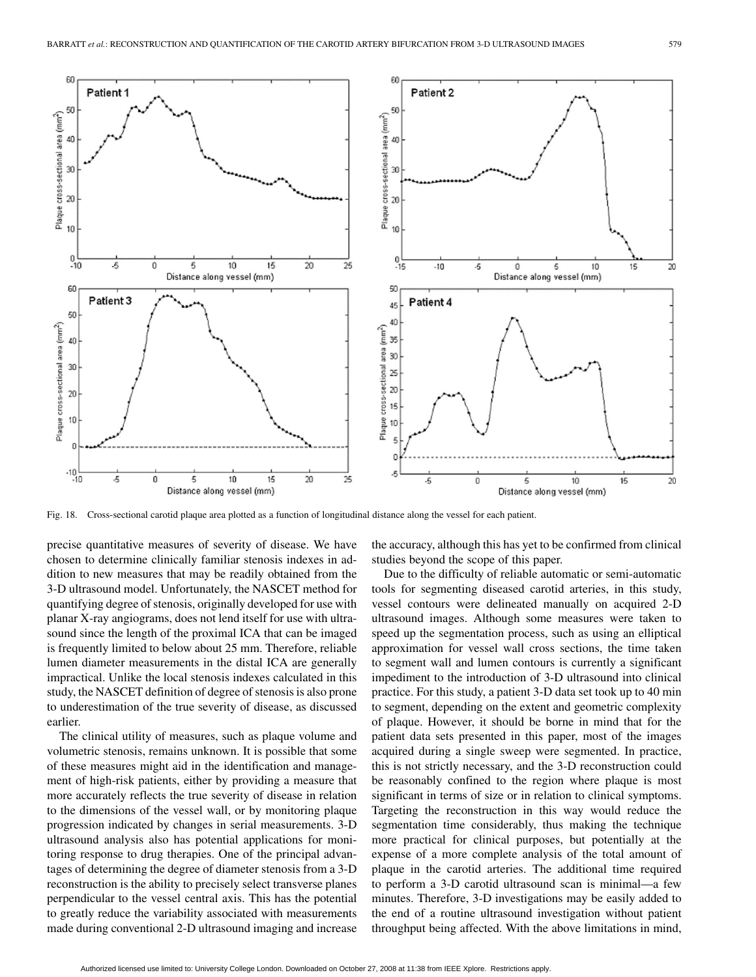

Fig. 18. Cross-sectional carotid plaque area plotted as a function of longitudinal distance along the vessel for each patient.

precise quantitative measures of severity of disease. We have chosen to determine clinically familiar stenosis indexes in addition to new measures that may be readily obtained from the 3-D ultrasound model. Unfortunately, the NASCET method for quantifying degree of stenosis, originally developed for use with planar X-ray angiograms, does not lend itself for use with ultrasound since the length of the proximal ICA that can be imaged is frequently limited to below about 25 mm. Therefore, reliable lumen diameter measurements in the distal ICA are generally impractical. Unlike the local stenosis indexes calculated in this study, the NASCET definition of degree of stenosis is also prone to underestimation of the true severity of disease, as discussed earlier.

The clinical utility of measures, such as plaque volume and volumetric stenosis, remains unknown. It is possible that some of these measures might aid in the identification and management of high-risk patients, either by providing a measure that more accurately reflects the true severity of disease in relation to the dimensions of the vessel wall, or by monitoring plaque progression indicated by changes in serial measurements. 3-D ultrasound analysis also has potential applications for monitoring response to drug therapies. One of the principal advantages of determining the degree of diameter stenosis from a 3-D reconstruction is the ability to precisely select transverse planes perpendicular to the vessel central axis. This has the potential to greatly reduce the variability associated with measurements made during conventional 2-D ultrasound imaging and increase the accuracy, although this has yet to be confirmed from clinical studies beyond the scope of this paper.

Due to the difficulty of reliable automatic or semi-automatic tools for segmenting diseased carotid arteries, in this study, vessel contours were delineated manually on acquired 2-D ultrasound images. Although some measures were taken to speed up the segmentation process, such as using an elliptical approximation for vessel wall cross sections, the time taken to segment wall and lumen contours is currently a significant impediment to the introduction of 3-D ultrasound into clinical practice. For this study, a patient 3-D data set took up to 40 min to segment, depending on the extent and geometric complexity of plaque. However, it should be borne in mind that for the patient data sets presented in this paper, most of the images acquired during a single sweep were segmented. In practice, this is not strictly necessary, and the 3-D reconstruction could be reasonably confined to the region where plaque is most significant in terms of size or in relation to clinical symptoms. Targeting the reconstruction in this way would reduce the segmentation time considerably, thus making the technique more practical for clinical purposes, but potentially at the expense of a more complete analysis of the total amount of plaque in the carotid arteries. The additional time required to perform a 3-D carotid ultrasound scan is minimal—a few minutes. Therefore, 3-D investigations may be easily added to the end of a routine ultrasound investigation without patient throughput being affected. With the above limitations in mind,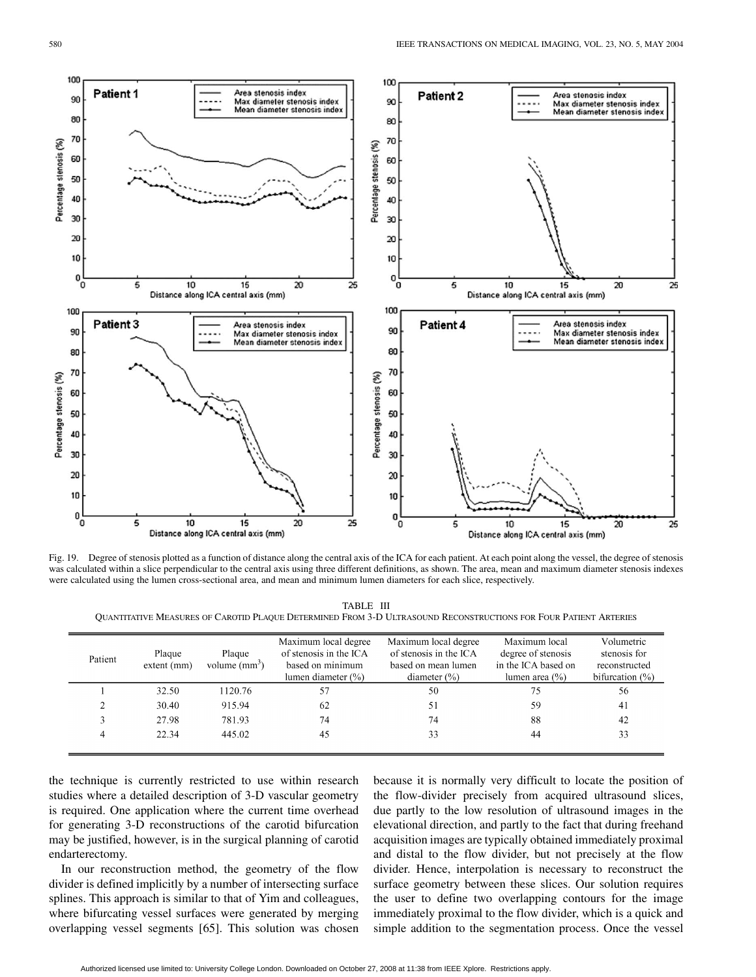

Fig. 19. Degree of stenosis plotted as a function of distance along the central axis of the ICA for each patient. At each point along the vessel, the degree of stenosis was calculated within a slice perpendicular to the central axis using three different definitions, as shown. The area, mean and maximum diameter stenosis indexes were calculated using the lumen cross-sectional area, and mean and minimum lumen diameters for each slice, respectively.

TABLE III QUANTITATIVE MEASURES OF CAROTID PLAQUE DETERMINED FROM 3-D ULTRASOUND RECONSTRUCTIONS FOR FOUR PATIENT ARTERIES

| Patient | Plaque<br>$extent$ (mm) | Plaque<br>volume $(mm^3)$ | Maximum local degree<br>of stenosis in the ICA<br>based on minimum<br>lumen diameter $(\% )$ | Maximum local degree<br>of stenosis in the $ICA$<br>based on mean lumen<br>diameter $(\% )$ | Maximum local<br>degree of stenosis<br>in the ICA based on<br>lumen area $(\% )$ | Volumetric<br>stenosis for<br>reconstructed<br>bifurcation $(\%)$ |
|---------|-------------------------|---------------------------|----------------------------------------------------------------------------------------------|---------------------------------------------------------------------------------------------|----------------------------------------------------------------------------------|-------------------------------------------------------------------|
|         | 32.50                   | 1120.76                   | 57                                                                                           | 50                                                                                          | 75                                                                               | 56                                                                |
| 2       | 30.40                   | 915.94                    | 62                                                                                           | 51                                                                                          | 59                                                                               | 41                                                                |
|         | 27.98                   | 781.93                    | 74                                                                                           | 74                                                                                          | 88                                                                               | 42                                                                |
| 4       | 22.34                   | 445.02                    | 45                                                                                           | 33                                                                                          | 44                                                                               | 33                                                                |

the technique is currently restricted to use within research studies where a detailed description of 3-D vascular geometry is required. One application where the current time overhead for generating 3-D reconstructions of the carotid bifurcation may be justified, however, is in the surgical planning of carotid endarterectomy.

In our reconstruction method, the geometry of the flow divider is defined implicitly by a number of intersecting surface splines. This approach is similar to that of Yim and colleagues, where bifurcating vessel surfaces were generated by merging overlapping vessel segments [\[65](#page-16-0)]. This solution was chosen because it is normally very difficult to locate the position of the flow-divider precisely from acquired ultrasound slices, due partly to the low resolution of ultrasound images in the elevational direction, and partly to the fact that during freehand acquisition images are typically obtained immediately proximal and distal to the flow divider, but not precisely at the flow divider. Hence, interpolation is necessary to reconstruct the surface geometry between these slices. Our solution requires the user to define two overlapping contours for the image immediately proximal to the flow divider, which is a quick and simple addition to the segmentation process. Once the vessel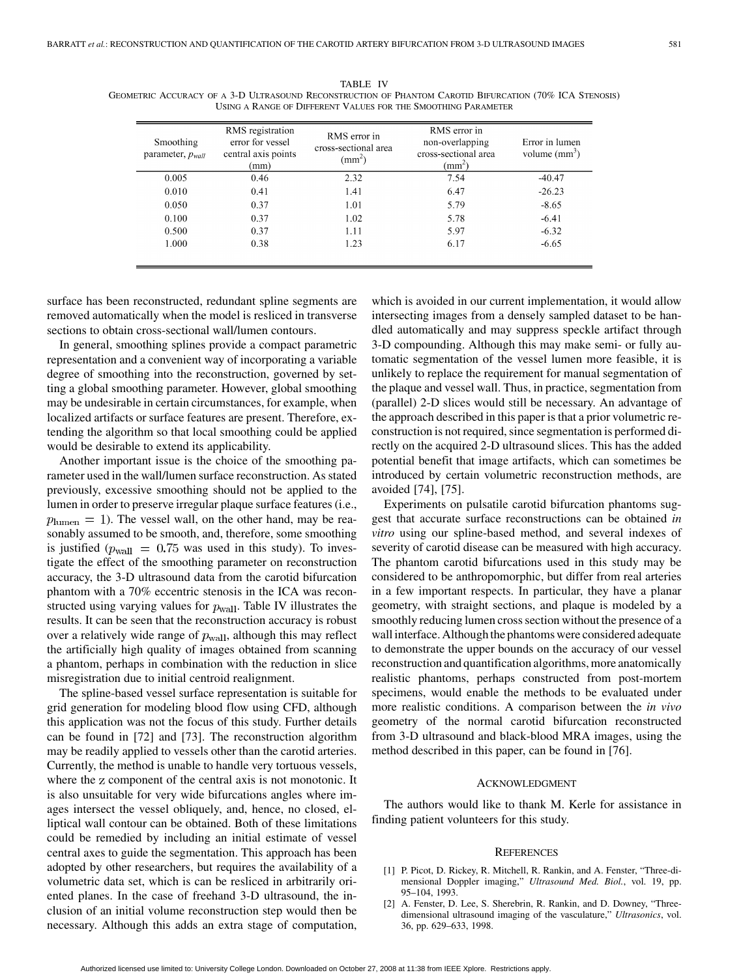<span id="page-14-0"></span>TABLE IV GEOMETRIC ACCURACY OF A 3-D ULTRASOUND RECONSTRUCTION OF PHANTOM CAROTID BIFURCATION (70% ICA STENOSIS) USING A RANGE OF DIFFERENT VALUES FOR THE SMOOTHING PARAMETER

| Smoothing<br>parameter, $p_{wall}$ | RMS registration<br>error for vessel<br>central axis points<br>(mm) | RMS error in<br>cross-sectional area<br>$\text{m}^2$ | RMS error in<br>non-overlapping<br>cross-sectional area<br>$\text{(mm}^{\scriptscriptstyle\angle}\text{)}$ | Error in lumen<br>volume $(mm3)$ |
|------------------------------------|---------------------------------------------------------------------|------------------------------------------------------|------------------------------------------------------------------------------------------------------------|----------------------------------|
| 0.005                              | 0.46                                                                | 2.32                                                 | 7.54                                                                                                       | $-40.47$                         |
| 0.010                              | 0.41                                                                | 1.41                                                 | 6.47                                                                                                       | $-26.23$                         |
| 0.050                              | 0.37                                                                | 1.01                                                 | 5.79                                                                                                       | $-8.65$                          |
| 0.100                              | 0.37                                                                | 1.02                                                 | 5.78                                                                                                       | $-6.41$                          |
| 0.500                              | 0.37                                                                | 1.11                                                 | 5.97                                                                                                       | $-6.32$                          |
| 1.000                              | 0.38                                                                | 1.23                                                 | 6.17                                                                                                       | $-6.65$                          |

surface has been reconstructed, redundant spline segments are removed automatically when the model is resliced in transverse sections to obtain cross-sectional wall/lumen contours.

In general, smoothing splines provide a compact parametric representation and a convenient way of incorporating a variable degree of smoothing into the reconstruction, governed by setting a global smoothing parameter. However, global smoothing may be undesirable in certain circumstances, for example, when localized artifacts or surface features are present. Therefore, extending the algorithm so that local smoothing could be applied would be desirable to extend its applicability.

Another important issue is the choice of the smoothing parameter used in the wall/lumen surface reconstruction. As stated previously, excessive smoothing should not be applied to the lumen in order to preserve irregular plaque surface features (i.e.,  $p_{\text{lumen}} = 1$ ). The vessel wall, on the other hand, may be reasonably assumed to be smooth, and, therefore, some smoothing is justified ( $p_{\text{wall}} = 0.75$  was used in this study). To investigate the effect of the smoothing parameter on reconstruction accuracy, the 3-D ultrasound data from the carotid bifurcation phantom with a 70% eccentric stenosis in the ICA was reconstructed using varying values for  $p_{\text{wall}}$ . Table IV illustrates the results. It can be seen that the reconstruction accuracy is robust over a relatively wide range of  $p_{\text{wall}}$ , although this may reflect the artificially high quality of images obtained from scanning a phantom, perhaps in combination with the reduction in slice misregistration due to initial centroid realignment.

The spline-based vessel surface representation is suitable for grid generation for modeling blood flow using CFD, although this application was not the focus of this study. Further details can be found in [\[72](#page-16-0)] and [\[73](#page-16-0)]. The reconstruction algorithm may be readily applied to vessels other than the carotid arteries. Currently, the method is unable to handle very tortuous vessels, where the z component of the central axis is not monotonic. It is also unsuitable for very wide bifurcations angles where images intersect the vessel obliquely, and, hence, no closed, elliptical wall contour can be obtained. Both of these limitations could be remedied by including an initial estimate of vessel central axes to guide the segmentation. This approach has been adopted by other researchers, but requires the availability of a volumetric data set, which is can be resliced in arbitrarily oriented planes. In the case of freehand 3-D ultrasound, the inclusion of an initial volume reconstruction step would then be necessary. Although this adds an extra stage of computation, which is avoided in our current implementation, it would allow intersecting images from a densely sampled dataset to be handled automatically and may suppress speckle artifact through 3-D compounding. Although this may make semi- or fully automatic segmentation of the vessel lumen more feasible, it is unlikely to replace the requirement for manual segmentation of the plaque and vessel wall. Thus, in practice, segmentation from (parallel) 2-D slices would still be necessary. An advantage of the approach described in this paper is that a prior volumetric reconstruction is not required, since segmentation is performed directly on the acquired 2-D ultrasound slices. This has the added potential benefit that image artifacts, which can sometimes be introduced by certain volumetric reconstruction methods, are avoided [[74\]](#page-16-0), [[75\]](#page-16-0).

Experiments on pulsatile carotid bifurcation phantoms suggest that accurate surface reconstructions can be obtained *in vitro* using our spline-based method, and several indexes of severity of carotid disease can be measured with high accuracy. The phantom carotid bifurcations used in this study may be considered to be anthropomorphic, but differ from real arteries in a few important respects. In particular, they have a planar geometry, with straight sections, and plaque is modeled by a smoothly reducing lumen cross section without the presence of a wall interface. Although the phantoms were considered adequate to demonstrate the upper bounds on the accuracy of our vessel reconstruction and quantification algorithms, more anatomically realistic phantoms, perhaps constructed from post-mortem specimens, would enable the methods to be evaluated under more realistic conditions. A comparison between the *in vivo* geometry of the normal carotid bifurcation reconstructed from 3-D ultrasound and black-blood MRA images, using the method described in this paper, can be found in [\[76](#page-16-0)].

#### ACKNOWLEDGMENT

The authors would like to thank M. Kerle for assistance in finding patient volunteers for this study.

#### **REFERENCES**

- [1] P. Picot, D. Rickey, R. Mitchell, R. Rankin, and A. Fenster, "Three-dimensional Doppler imaging," *Ultrasound Med. Biol.*, vol. 19, pp. 95–104, 1993.
- [2] A. Fenster, D. Lee, S. Sherebrin, R. Rankin, and D. Downey, "Threedimensional ultrasound imaging of the vasculature," *Ultrasonics*, vol. 36, pp. 629–633, 1998.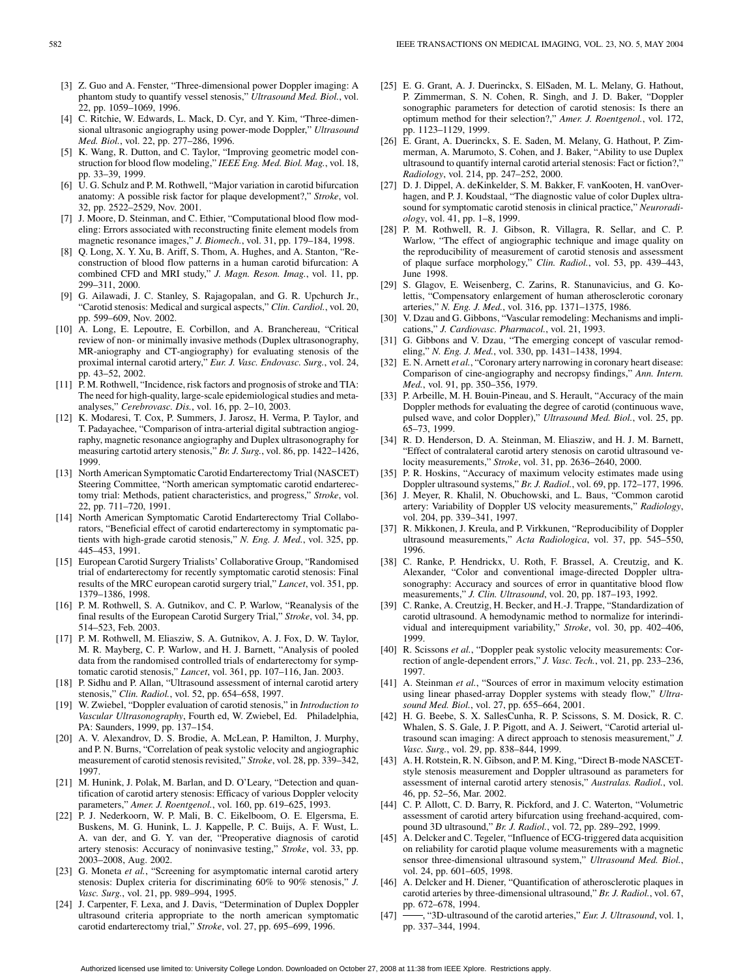- <span id="page-15-0"></span>[3] Z. Guo and A. Fenster, "Three-dimensional power Doppler imaging: A phantom study to quantify vessel stenosis," *Ultrasound Med. Biol.*, vol. 22, pp. 1059–1069, 1996.
- [4] C. Ritchie, W. Edwards, L. Mack, D. Cyr, and Y. Kim, "Three-dimensional ultrasonic angiography using power-mode Doppler," *Ultrasound Med. Biol.*, vol. 22, pp. 277–286, 1996.
- [5] K. Wang, R. Dutton, and C. Taylor, "Improving geometric model construction for blood flow modeling," *IEEE Eng. Med. Biol. Mag.*, vol. 18, pp. 33–39, 1999.
- [6] U. G. Schulz and P. M. Rothwell, "Major variation in carotid bifurcation anatomy: A possible risk factor for plaque development?," *Stroke*, vol. 32, pp. 2522–2529, Nov. 2001.
- [7] J. Moore, D. Steinman, and C. Ethier, "Computational blood flow modeling: Errors associated with reconstructing finite element models from magnetic resonance images," *J. Biomech.*, vol. 31, pp. 179–184, 1998.
- [8] Q. Long, X. Y. Xu, B. Ariff, S. Thom, A. Hughes, and A. Stanton, "Reconstruction of blood flow patterns in a human carotid bifurcation: A combined CFD and MRI study," *J. Magn. Reson. Imag.*, vol. 11, pp. 299–311, 2000.
- [9] G. Ailawadi, J. C. Stanley, S. Rajagopalan, and G. R. Upchurch Jr., "Carotid stenosis: Medical and surgical aspects," *Clin. Cardiol.*, vol. 20, pp. 599–609, Nov. 2002.
- [10] A. Long, E. Lepoutre, E. Corbillon, and A. Branchereau, "Critical review of non- or minimally invasive methods (Duplex ultrasonography, MR-aniography and CT-angiography) for evaluating stenosis of the proximal internal carotid artery," *Eur. J. Vasc. Endovasc. Surg.*, vol. 24, pp. 43–52, 2002.
- [11] P. M. Rothwell, "Incidence, risk factors and prognosis of stroke and TIA: The need for high-quality, large-scale epidemiological studies and metaanalyses," *Cerebrovasc. Dis.*, vol. 16, pp. 2–10, 2003.
- [12] K. Modaresi, T. Cox, P. Summers, J. Jarosz, H. Verma, P. Taylor, and T. Padayachee, "Comparison of intra-arterial digital subtraction angiography, magnetic resonance angiography and Duplex ultrasonography for measuring cartotid artery stenosis," *Br. J. Surg.*, vol. 86, pp. 1422–1426, 1999.
- [13] North American Symptomatic Carotid Endarterectomy Trial (NASCET) Steering Committee, "North american symptomatic carotid endarterectomy trial: Methods, patient characteristics, and progress," *Stroke*, vol. 22, pp. 711–720, 1991.
- [14] North American Symptomatic Carotid Endarterectomy Trial Collaborators, "Beneficial effect of carotid endarterectomy in symptomatic patients with high-grade carotid stenosis," *N. Eng. J. Med.*, vol. 325, pp. 445–453, 1991.
- [15] European Carotid Surgery Trialists' Collaborative Group, "Randomised trial of endarterectomy for recently symptomatic carotid stenosis: Final results of the MRC european carotid surgery trial," *Lancet*, vol. 351, pp. 1379–1386, 1998.
- [16] P. M. Rothwell, S. A. Gutnikov, and C. P. Warlow, "Reanalysis of the final results of the European Carotid Surgery Trial," *Stroke*, vol. 34, pp. 514–523, Feb. 2003.
- [17] P. M. Rothwell, M. Eliasziw, S. A. Gutnikov, A. J. Fox, D. W. Taylor, M. R. Mayberg, C. P. Warlow, and H. J. Barnett, "Analysis of pooled data from the randomised controlled trials of endarterectomy for symptomatic carotid stenosis," *Lancet*, vol. 361, pp. 107–116, Jan. 2003.
- [18] P. Sidhu and P. Allan, "Ultrasound assessment of internal carotid artery stenosis," *Clin. Radiol.*, vol. 52, pp. 654–658, 1997.
- [19] W. Zwiebel, "Doppler evaluation of carotid stenosis," in *Introduction to Vascular Ultrasonography*, Fourth ed, W. Zwiebel, Ed. Philadelphia, PA: Saunders, 1999, pp. 137–154.
- [20] A. V. Alexandrov, D. S. Brodie, A. McLean, P. Hamilton, J. Murphy, and P. N. Burns, "Correlation of peak systolic velocity and angiographic measurement of carotid stenosis revisited," *Stroke*, vol. 28, pp. 339–342, 1997.
- [21] M. Hunink, J. Polak, M. Barlan, and D. O'Leary, "Detection and quantification of carotid artery stenosis: Efficacy of various Doppler velocity parameters," *Amer. J. Roentgenol.*, vol. 160, pp. 619–625, 1993.
- [22] P. J. Nederkoorn, W. P. Mali, B. C. Eikelboom, O. E. Elgersma, E. Buskens, M. G. Hunink, L. J. Kappelle, P. C. Buijs, A. F. Wust, L. A. van der, and G. Y. van der, "Preoperative diagnosis of carotid artery stenosis: Accuracy of noninvasive testing," *Stroke*, vol. 33, pp. 2003–2008, Aug. 2002.
- [23] G. Moneta et al., "Screening for asymptomatic internal carotid artery stenosis: Duplex criteria for discriminating 60% to 90% stenosis," *J. Vasc. Surg.*, vol. 21, pp. 989–994, 1995.
- [24] J. Carpenter, F. Lexa, and J. Davis, "Determination of Duplex Doppler ultrasound criteria appropriate to the north american symptomatic carotid endarterectomy trial," *Stroke*, vol. 27, pp. 695–699, 1996.
- [25] E. G. Grant, A. J. Duerinckx, S. ElSaden, M. L. Melany, G. Hathout, P. Zimmerman, S. N. Cohen, R. Singh, and J. D. Baker, "Doppler sonographic parameters for detection of carotid stenosis: Is there an optimum method for their selection?," *Amer. J. Roentgenol.*, vol. 172, pp. 1123–1129, 1999.
- [26] E. Grant, A. Duerinckx, S. E. Saden, M. Melany, G. Hathout, P. Zimmerman, A. Marumoto, S. Cohen, and J. Baker, "Ability to use Duplex ultrasound to quantify internal carotid arterial stenosis: Fact or fiction?," *Radiology*, vol. 214, pp. 247–252, 2000.
- [27] D. J. Dippel, A. deKinkelder, S. M. Bakker, F. vanKooten, H. vanOverhagen, and P. J. Koudstaal, "The diagnostic value of color Duplex ultrasound for symptomatic carotid stenosis in clinical practice," *Neuroradiology*, vol. 41, pp. 1–8, 1999.
- [28] P. M. Rothwell, R. J. Gibson, R. Villagra, R. Sellar, and C. P. Warlow, "The effect of angiographic technique and image quality on the reproducibility of measurement of carotid stenosis and assessment of plaque surface morphology," *Clin. Radiol.*, vol. 53, pp. 439–443, June 1998.
- [29] S. Glagov, E. Weisenberg, C. Zarins, R. Stanunavicius, and G. Kolettis, "Compensatory enlargement of human atherosclerotic coronary arteries," *N. Eng. J. Med.*, vol. 316, pp. 1371–1375, 1986.
- [30] V. Dzau and G. Gibbons, "Vascular remodeling: Mechanisms and implications," *J. Cardiovasc. Pharmacol.*, vol. 21, 1993.
- [31] G. Gibbons and V. Dzau, "The emerging concept of vascular remodeling," *N. Eng. J. Med.*, vol. 330, pp. 1431–1438, 1994.
- [32] E. N. Arnett *et al.*, "Coronary artery narrowing in coronary heart disease: Comparison of cine-angiography and necropsy findings," *Ann. Intern. Med.*, vol. 91, pp. 350–356, 1979.
- [33] P. Arbeille, M. H. Bouin-Pineau, and S. Herault, "Accuracy of the main Doppler methods for evaluating the degree of carotid (continuous wave, pulsed wave, and color Doppler)," *Ultrasound Med. Biol.*, vol. 25, pp. 65–73, 1999.
- [34] R. D. Henderson, D. A. Steinman, M. Eliasziw, and H. J. M. Barnett, "Effect of contralateral carotid artery stenosis on carotid ultrasound velocity measurements," *Stroke*, vol. 31, pp. 2636–2640, 2000.
- [35] P. R. Hoskins, "Accuracy of maximum velocity estimates made using Doppler ultrasound systems," *Br. J. Radiol.*, vol. 69, pp. 172–177, 1996.
- [36] J. Meyer, R. Khalil, N. Obuchowski, and L. Baus, "Common carotid artery: Variability of Doppler US velocity measurements," *Radiology*, vol. 204, pp. 339–341, 1997.
- [37] R. Mikkonen, J. Kreula, and P. Virkkunen, "Reproducibility of Doppler ultrasound measurements," *Acta Radiologica*, vol. 37, pp. 545–550, 1996.
- [38] C. Ranke, P. Hendrickx, U. Roth, F. Brassel, A. Creutzig, and K. Alexander, "Color and conventional image-directed Doppler ultrasonography: Accuracy and sources of error in quantitative blood flow measurements," *J. Clin. Ultrasound*, vol. 20, pp. 187–193, 1992.
- [39] C. Ranke, A. Creutzig, H. Becker, and H.-J. Trappe, "Standardization of carotid ultrasound. A hemodynamic method to normalize for interindividual and interequipment variability," *Stroke*, vol. 30, pp. 402–406, 1999.
- [40] R. Scissons *et al.*, "Doppler peak systolic velocity measurements: Correction of angle-dependent errors," *J. Vasc. Tech.*, vol. 21, pp. 233–236, 1997.
- [41] A. Steinman *et al.*, "Sources of error in maximum velocity estimation using linear phased-array Doppler systems with steady flow," *Ultrasound Med. Biol.*, vol. 27, pp. 655–664, 2001.
- [42] H. G. Beebe, S. X. SallesCunha, R. P. Scissons, S. M. Dosick, R. C. Whalen, S. S. Gale, J. P. Pigott, and A. J. Seiwert, "Carotid arterial ultrasound scan imaging: A direct approach to stenosis measurement," *J. Vasc. Surg.*, vol. 29, pp. 838–844, 1999.
- [43] A. H. Rotstein, R. N. Gibson, and P. M. King, "Direct B-mode NASCETstyle stenosis measurement and Doppler ultrasound as parameters for assessment of internal carotid artery stenosis," *Australas. Radiol.*, vol. 46, pp. 52–56, Mar. 2002.
- [44] C. P. Allott, C. D. Barry, R. Pickford, and J. C. Waterton, "Volumetric assessment of carotid artery bifurcation using freehand-acquired, compound 3D ultrasound," *Br. J. Radiol.*, vol. 72, pp. 289–292, 1999.
- [45] A. Delcker and C. Tegeler, "Influence of ECG-triggered data acquisition on reliability for carotid plaque volume measurements with a magnetic sensor three-dimensional ultrasound system," *Ultrasound Med. Biol.*, vol. 24, pp. 601–605, 1998.
- [46] A. Delcker and H. Diener, "Quantification of atherosclerotic plaques in carotid arteries by three-dimensional ultrasound," *Br. J. Radiol.*, vol. 67, pp. 672–678, 1994.
- [47]  $\rightarrow$  "3D-ultrasound of the carotid arteries," *Eur. J. Ultrasound*, vol. 1, pp. 337–344, 1994.